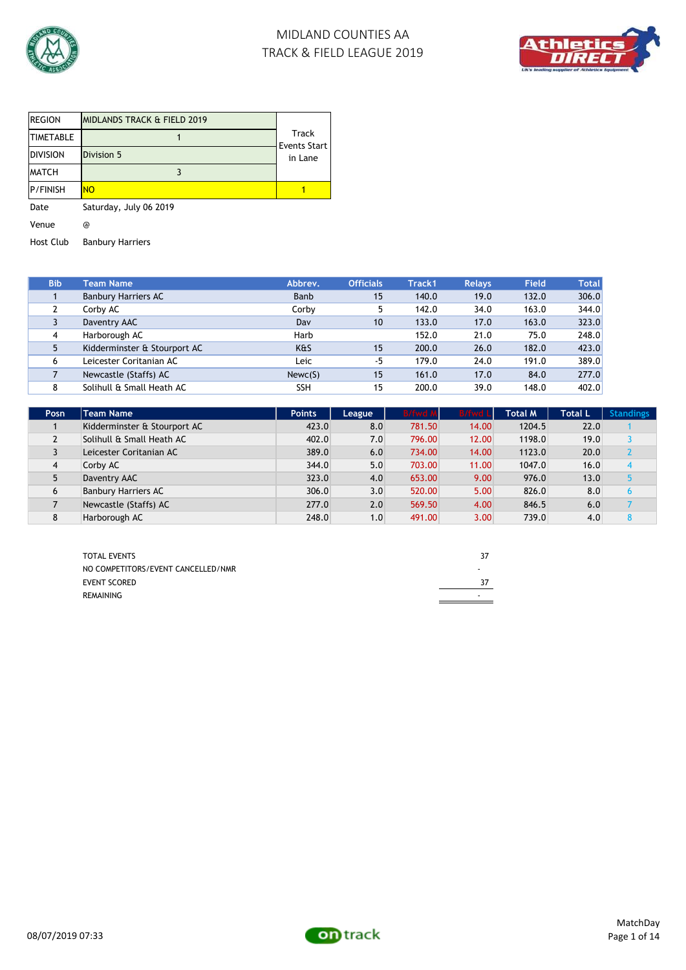



| REGION           | IMIDLANDS TRACK & FIELD 2019 |                              |
|------------------|------------------------------|------------------------------|
| <b>TIMETABLE</b> |                              | Track<br><b>Events Start</b> |
| <b>DIVISION</b>  | Division 5                   | in Lane                      |
| <b>MATCH</b>     |                              |                              |
| P/FINISH         | <b>NO</b>                    |                              |
| Date             | Saturday, July 06 2019       |                              |
| Venue            | @                            |                              |

Host Club Banbury Harriers

| <b>Bib</b> | Team Name                    | Abbrev.    | <b>Officials</b> | Track1 | <b>Relays</b> | <b>Field</b> | <b>Total</b> |
|------------|------------------------------|------------|------------------|--------|---------------|--------------|--------------|
|            | <b>Banbury Harriers AC</b>   | Banb       | 15               | 140.0  | 19.0          | 132.0        | 306.0        |
| 2          | Corby AC                     | Corby      | 5                | 142.0  | 34.0          | 163.0        | 344.0        |
| 3          | Daventry AAC                 | Dav        | 10               | 133.0  | 17.0          | 163.0        | 323.0        |
| 4          | Harborough AC                | Harb       |                  | 152.0  | 21.0          | 75.0         | 248.0        |
| 5          | Kidderminster & Stourport AC | K&S        | 15               | 200.0  | 26.0          | 182.0        | 423.0        |
| 6          | Leicester Coritanian AC      | Leic       | $-5$             | 179.0  | 24.0          | 191.0        | 389.0        |
|            | Newcastle (Staffs) AC        | Newc(S)    | 15               | 161.0  | 17.0          | 84.0         | 277.0        |
| 8          | Solihull & Small Heath AC    | <b>SSH</b> | 15               | 200.0  | 39.0          | 148.0        | 402.0        |

| Posn           | <b>Team Name</b>             | <b>Points</b> | League | <b>B/fwd M</b> | <b>B/fwd Ll</b> | <b>Total M</b> | Total L | <b>Standings</b> |
|----------------|------------------------------|---------------|--------|----------------|-----------------|----------------|---------|------------------|
|                | Kidderminster & Stourport AC | 423.0         | 8.0    | 781.50         | 14.00           | 1204.5         | 22.0    |                  |
| $\mathbf{2}$   | Solihull & Small Heath AC    | 402.0         | 7.0    | 796.00         | 12.00           | 1198.0         | 19.0    |                  |
|                | Leicester Coritanian AC      | 389.0         | 6.0    | 734.00         | 14.00           | 1123.0         | 20.0    |                  |
| $\overline{4}$ | Corby AC                     | 344.0         | 5.0    | 703.00         | 11.00           | 1047.0         | 16.0    | 4                |
|                | Daventry AAC                 | 323.0         | 4.0    | 653.00         | 9.00            | 976.0          | 13.0    |                  |
| 6              | <b>Banbury Harriers AC</b>   | 306.0         | 3.0    | 520.00         | 5.00            | 826.0          | 8.0     |                  |
|                | Newcastle (Staffs) AC        | 277.0         | 2.0    | 569.50         | 4.00            | 846.5          | 6.0     |                  |
| 8              | Harborough AC                | 248.0         | 1.0    | 491.00         | 3.00            | 739.0          | 4.0     |                  |

| <b>TOTAL EVENTS</b>                | 37 |
|------------------------------------|----|
| NO COMPETITORS/EVENT CANCELLED/NMR | ۰  |
| <b>EVENT SCORED</b>                | 37 |
| REMAINING                          | ٠  |

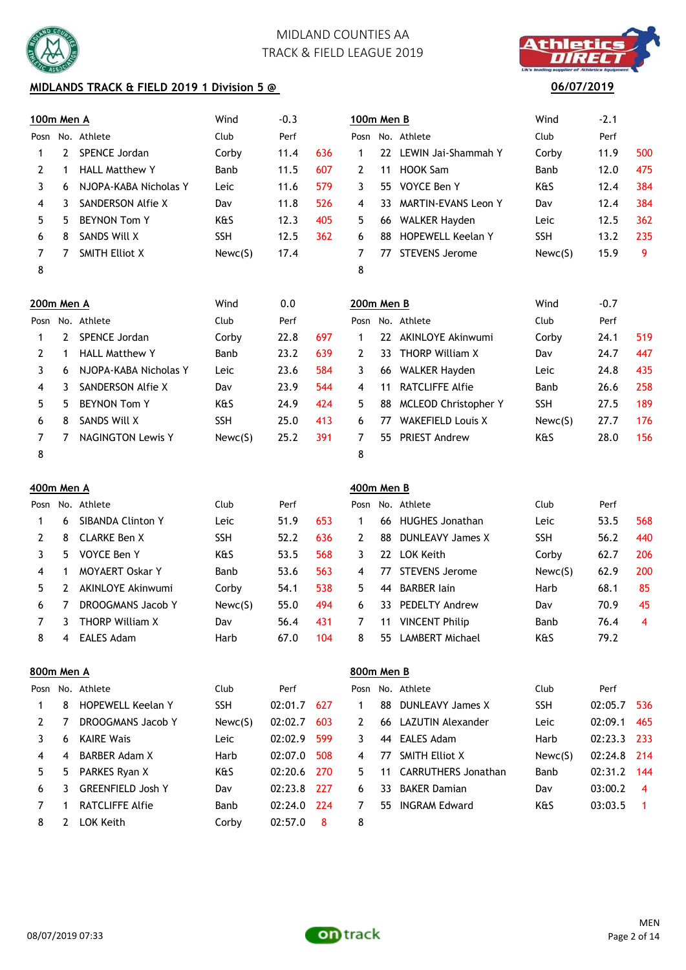

## **MIDLANDS TRACK & FIELD 2019 1 Division 5 @**

|  | thletic |  |
|--|---------|--|
|  |         |  |
|  | 111:13号 |  |

### **06/07/2019**

| Posn           |    | No. Athlete              | Club       | Perf |     | Posn         |     | No. Athlete                | Club       | Perf   |     |
|----------------|----|--------------------------|------------|------|-----|--------------|-----|----------------------------|------------|--------|-----|
|                | 2  | SPENCE Jordan            | Corby      | 11.4 | 636 | 1            | 22  | LEWIN Jai-Shammah Y        | Corby      | 11.9   | 500 |
| $\overline{2}$ |    | <b>HALL Matthew Y</b>    | Banb       | 11.5 | 607 | 2            | 11  | <b>HOOK Sam</b>            | Banb       | 12.0   | 475 |
| 3              | 6  | NJOPA-KABA Nicholas Y    | Leic       | 11.6 | 579 | 3            | 55  | VOYCE Ben Y                | K&S        | 12.4   | 384 |
| 4              | 3  | SANDERSON Alfie X        | Dav        | 11.8 | 526 | 4            | 33. | <b>MARTIN-EVANS Leon Y</b> | Dav        | 12.4   | 384 |
| 5.             | 5. | <b>BEYNON Tom Y</b>      | K&S        | 12.3 | 405 | 5.           | 66  | <b>WALKER Hayden</b>       | Leic       | 12.5   | 362 |
| 6              | 8  | SANDS Will X             | <b>SSH</b> | 12.5 | 362 | 6            | 88  | <b>HOPEWELL Keelan Y</b>   | <b>SSH</b> | 13.2   | 235 |
| 7              | 7  | <b>SMITH Elliot X</b>    | Newc(S)    | 17.4 |     | 7            | 77  | <b>STEVENS Jerome</b>      | Newc(S)    | 15.9   | 9   |
| 8              |    |                          |            |      |     | 8            |     |                            |            |        |     |
| 200m Men A     |    |                          | Wind       | 0.0  |     | 200m Men B   |     |                            | Wind       | $-0.7$ |     |
| Posn           |    | No. Athlete              | Club       | Perf |     | Posn         |     | No. Athlete                | Club       | Perf   |     |
|                | 2  | SPENCE Jordan            | Corby      | 22.8 | 697 | 1            | 22  | <b>AKINLOYE Akinwumi</b>   | Corby      | 24.1   | 519 |
| $\overline{2}$ |    | <b>HALL Matthew Y</b>    | Banb       | 23.2 | 639 | $\mathbf{2}$ | 33  | <b>THORP William X</b>     | Dav        | 24.7   | 447 |
| 3              | 6  | NJOPA-KABA Nicholas Y    | Leic       | 23.6 | 584 | 3            | 66  | <b>WALKER Hayden</b>       | Leic       | 24.8   | 435 |
| 4              | 3  | SANDERSON Alfie X        | Dav        | 23.9 | 544 | 4            | 11  | <b>RATCLIFFE Alfie</b>     | Banb       | 26.6   | 258 |
| 5              | 5. | <b>BEYNON Tom Y</b>      | K&S        | 24.9 | 424 | 5.           | 88  | MCLEOD Christopher Y       | <b>SSH</b> | 27.5   | 189 |
| 6              | 8  | SANDS Will X             | <b>SSH</b> | 25.0 | 413 | 6            | 77  | <b>WAKEFIELD Louis X</b>   | Newc(S)    | 27.7   | 176 |
| 7              | 7  | <b>NAGINGTON Lewis Y</b> | Newc(S)    | 25.2 | 391 | 7            | 55. | <b>PRIEST Andrew</b>       | K&S        | 28.0   | 156 |
| 8              |    |                          |            |      |     | 8            |     |                            |            |        |     |

| 100m Men A |    |                       | Wind       | $-0.3$ |     | 100m Men B |     |                            | Wind       | $-2.1$ |     |
|------------|----|-----------------------|------------|--------|-----|------------|-----|----------------------------|------------|--------|-----|
| Posn       |    | No. Athlete           | Club       | Perf   |     |            |     | Posn No. Athlete           | Club       | Perf   |     |
|            | 2  | SPENCE Jordan         | Corby      | 11.4   | 636 |            | 22. | LEWIN Jai-Shammah Y        | Corby      | 11.9   | 500 |
| 2          |    | <b>HALL Matthew Y</b> | Banb       | 11.5   | 607 | 2          | 11  | HOOK Sam                   | Banb       | 12.0   | 475 |
| 3          | 6  | NJOPA-KABA Nicholas Y | Leic       | 11.6   | 579 | 3          | 55  | VOYCE Ben Y                | K&S        | 12.4   | 384 |
| 4          | 3  | SANDERSON Alfie X     | Dav        | 11.8   | 526 | 4          | 33. | <b>MARTIN-EVANS Leon Y</b> | Dav        | 12.4   | 384 |
| 5.         | 5. | <b>BEYNON Tom Y</b>   | K&S        | 12.3   | 405 | 5          | 66  | <b>WALKER Hayden</b>       | Leic       | 12.5   | 362 |
| 6          | 8  | SANDS Will X          | <b>SSH</b> | 12.5   | 362 | 6          | 88  | <b>HOPEWELL Keelan Y</b>   | <b>SSH</b> | 13.2   | 235 |
| 7          | 7  | <b>SMITH Elliot X</b> | Newc(S)    | 17.4   |     |            | 77  | <b>STEVENS Jerome</b>      | Newc(S)    | 15.9   | 9   |
| 8          |    |                       |            |        |     | 8          |     |                            |            |        |     |
| 200m Men A |    |                       | Wind       | 0.0    |     | 200m Men B |     |                            | Wind       | $-0.7$ |     |

|              | ה ווטייו וווט |                          | ,,,,,,     | v.v  |     | <i>L</i> ovin McH D |    |                             | ,,,,,,     | <u>v.,</u> |     |
|--------------|---------------|--------------------------|------------|------|-----|---------------------|----|-----------------------------|------------|------------|-----|
|              |               | osn No. Athlete          | Club       | Perf |     |                     |    | Posn No. Athlete            | Club       | Perf       |     |
| 1            | 2             | SPENCE Jordan            | Corby      | 22.8 | 697 |                     | 22 | AKINLOYE Akinwumi           | Corby      | 24.1       | 519 |
| $\mathbf{2}$ |               | <b>HALL Matthew Y</b>    | Banb       | 23.2 | 639 |                     | 33 | <b>THORP William X</b>      | Dav        | 24.7       | 447 |
| 3            | 6.            | NJOPA-KABA Nicholas Y    | Leic       | 23.6 | 584 | 3.                  | 66 | WALKER Hayden               | Leic       | 24.8       | 435 |
| 4            | 3.            | SANDERSON Alfie X        | Dav        | 23.9 | 544 | 4                   | 11 | RATCLIFFE Alfie             | Banb       | 26.6       | 258 |
| 5.           | 5.            | <b>BEYNON Tom Y</b>      | K&S        | 24.9 | 424 | 5.                  | 88 | <b>MCLEOD Christopher Y</b> | <b>SSH</b> | 27.5       | 189 |
| 6            | 8             | SANDS Will X             | <b>SSH</b> | 25.0 | 413 | 6.                  | 77 | <b>WAKEFIELD Louis X</b>    | Newc(S)    | 27.7       | 176 |
|              |               | <b>NAGINGTON Lewis Y</b> | Newc(S)    | 25.2 | 391 |                     | 55 | <b>PRIEST Andrew</b>        | K&S        | 28.0       | 156 |
| 8            |               |                          |            |      |     | 8                   |    |                             |            |            |     |

## **400m Men A 400m Men B**

|      |    |                          |            |      |     | .  |    |                         |            |      |     |
|------|----|--------------------------|------------|------|-----|----|----|-------------------------|------------|------|-----|
| Posn |    | No. Athlete              | Club       | Perf |     |    |    | Posn No. Athlete        | Club       | Perf |     |
|      | 6. | <b>SIBANDA Clinton Y</b> | Leic       | 51.9 | 653 |    | 66 | <b>HUGHES Jonathan</b>  | Leic       | 53.5 | 568 |
|      | 8  | CLARKE Ben X             | <b>SSH</b> | 52.2 | 636 |    | 88 | <b>DUNLEAVY James X</b> | <b>SSH</b> | 56.2 | 440 |
|      | 5. | VOYCE Ben Y              | K&S        | 53.5 | 568 | 3. | 22 | LOK Keith               | Corby      | 62.7 | 206 |
| 4    |    | <b>MOYAERT Oskar Y</b>   | Banb       | 53.6 | 563 | 4  | 77 | STEVENS Jerome          | Newc(S)    | 62.9 | 200 |
| 5.   |    | AKINLOYE Akinwumi        | Corby      | 54.1 | 538 | 5. | 44 | <b>BARBER lain</b>      | Harb       | 68.1 | 85  |
| 6    |    | DROOGMANS Jacob Y        | Newc(S)    | 55.0 | 494 | 6. | 33 | <b>PEDELTY Andrew</b>   | Dav        | 70.9 | 45  |
|      |    | <b>THORP William X</b>   | Dav        | 56.4 | 431 |    | 11 | <b>VINCENT Philip</b>   | Banb       | 76.4 | 4   |
| 8    | 4  | EALES Adam               | Harb       | 67.0 | 104 | 8  | 55 | LAMBERT Michael         | K&S        | 79.2 |     |
|      |    |                          |            |      |     |    |    |                         |            |      |     |

## **800m Men A 800m Men B** Posn No. Athlete Club Perf Posn No. Athlete Club Perf 1 8 HOPEWELL Keelan Y SSH 02:01.7 627 1 88 DUNLEAVY James X SSH 02:05.7 536 2 7 DROOGMANS Jacob Y Newc(S) 02:02.7 603 2 66 LAZUTIN Alexander Leic 02:09.1 465 3 6 KAIRE Wais Leic 02:02.9 599 3 44 EALES Adam Harb 02:23.3 233 4 4 BARBER Adam X Harb 02:07.0 508 4 77 SMITH Elliot X Newc(S) 02:24.8 214 5 5 PARKES Ryan X 6 K&S 02:20.6 270 5 11 CARRUTHERS Jonathan Banb 02:31.2 144 6 3 GREENFIELD Josh Y Dav 02:23.8 227 6 33 BAKER Damian Dav 03:00.2 4 7 1 RATCLIFFE Alfie 8 Banb 02:24.0 224 7 55 INGRAM Edward K&S 03:03.5 1 8 2 LOK Keith Corby 02:57.0 8 8

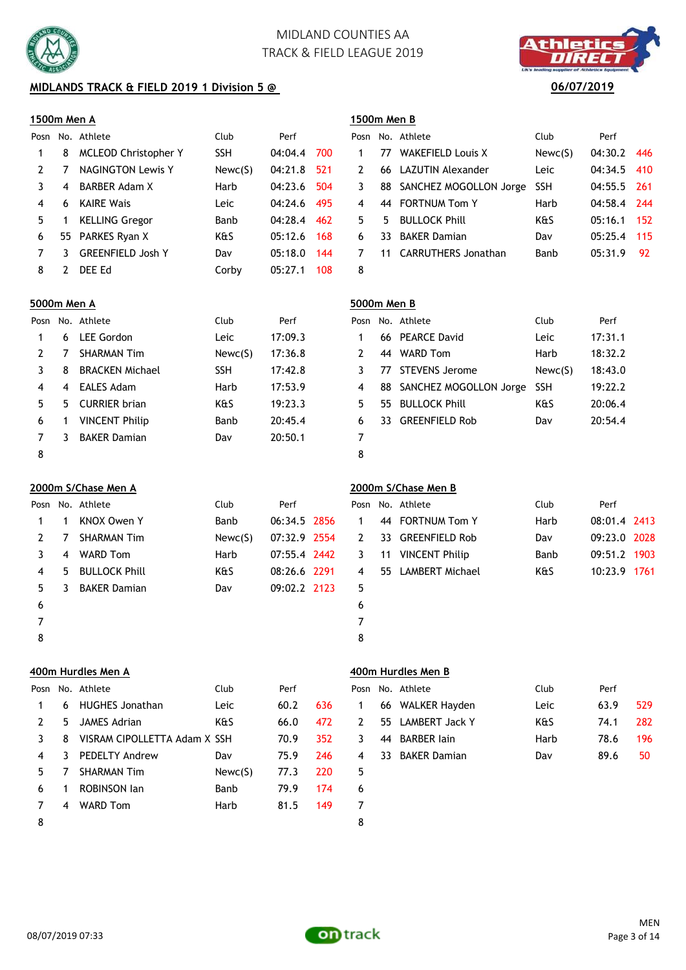

## **MIDLANDS TRACK & FIELD 2019 1 Division 5 @** 06/07/2019

### **1500m Men A 1500m Men B**

|    |   | Posn No. Athlete            | Club       | Perf    |     |   |    | Posn No. Athlete          | Club       | Perf        |            |
|----|---|-----------------------------|------------|---------|-----|---|----|---------------------------|------------|-------------|------------|
|    | 8 | <b>MCLEOD Christopher Y</b> | <b>SSH</b> | 04:04.4 | 700 |   | 77 | <b>WAKEFIELD Louis X</b>  | Newc(S)    | 04:30.2     | 446        |
|    |   | <b>NAGINGTON Lewis Y</b>    | Newc(S)    | 04:21.8 | 521 | 2 |    | 66 LAZUTIN Alexander      | Leic       | 04:34.5     | <b>410</b> |
|    | 4 | BARBER Adam X               | Harb       | 04:23.6 | 504 | 3 |    | 88 SANCHEZ MOGOLLON Jorge | <b>SSH</b> | 04:55.5 261 |            |
| 4  | 6 | <b>KAIRE Wais</b>           | Leic       | 04:24.6 | 495 | 4 | 44 | <b>FORTNUM Tom Y</b>      | Harb       | 04:58.4 244 |            |
| 5. |   | <b>KELLING Gregor</b>       | Banb       | 04:28.4 | 462 | 5 | 5. | <b>BULLOCK Phill</b>      | K&S        | 05:16.1     | 152        |
| 6  |   | 55 PARKES Ryan X            | K&S        | 05:12.6 | 168 | 6 | 33 | <b>BAKER Damian</b>       | Dav        | 05:25.4     | 115        |
|    |   | <b>GREENFIELD Josh Y</b>    | Dav        | 05:18.0 | 144 |   |    | 11 CARRUTHERS Jonathan    | Banb       | 05:31.9     | - 92       |
| 8  |   | DEE Ed                      | Corby      | 05:27.1 | 108 | 8 |    |                           |            |             |            |

|             | osh no. Athlete           | CIUD       | Pert        |     |
|-------------|---------------------------|------------|-------------|-----|
| $\mathbf 1$ | 77 WAKEFIELD Louis X      | Newc(S)    | 04:30.2 446 |     |
| 2           | 66 LAZUTIN Alexander      | Leic       | 04:34.5 410 |     |
| 3           | 88 SANCHEZ MOGOLLON Jorge | <b>SSH</b> | 04:55.5 261 |     |
| 4           | 44 FORTNUM Tom Y          | Harb       | 04:58.4 244 |     |
|             | 5 5 BULLOCK Phill         | K&S        | 05:16.1     | 152 |
| 6           | 33 BAKER Damian           | Dav        | 05:25.4     | 115 |
| 7           | 11 CARRUTHERS Jonathan    | Banb       | 05:31.9     | -92 |
| Ω           |                           |            |             |     |

### **5000m Men A 5000m Men B**

| Posn |    | No. Athlete            | Club       | Perf    |    |     | Posn No. Athlete       | Club       | Perf    |
|------|----|------------------------|------------|---------|----|-----|------------------------|------------|---------|
|      | 6  | LEE Gordon             | Leic       | 17:09.3 |    |     | 66 PEARCE David        | Leic       | 17:31.1 |
|      |    | <b>SHARMAN Tim</b>     | Newc(S)    | 17:36.8 |    | 44  | <b>WARD Tom</b>        | Harb       | 18:32.2 |
|      | 8  | <b>BRACKEN Michael</b> | <b>SSH</b> | 17:42.8 |    | 77  | STEVENS Jerome         | Newc(S)    | 18:43.0 |
| 4    | 4  | EALES Adam             | Harb       | 17:53.9 | 4  | 88  | SANCHEZ MOGOLLON Jorge | <b>SSH</b> | 19:22.2 |
| 5.   | 5. | <b>CURRIER brian</b>   | K&S        | 19:23.3 | 5. | 55. | <b>BULLOCK Phill</b>   | K&S        | 20:06.4 |
| 6    |    | <b>VINCENT Philip</b>  | Banb       | 20:45.4 | 6  | 33. | <b>GREENFIELD Rob</b>  | Dav        | 20:54.4 |
|      |    | <b>BAKER Damian</b>    | Dav        | 20:50.1 |    |     |                        |            |         |
|      |    |                        |            |         |    |     |                        |            |         |

8 8

**2000m S/Chase Men A 2000m S/Chase Men B** Posn No. Athlete **Club** Perf P 1 1 KNOX Owen Y Banb 06:34.5 2856 2 7 SHARMAN Tim Newc(S) 07:32.9 2554 3 4 WARD Tom Harb 07:55.4 2442 4 5 BULLOCK Phill K&S 08:26.6 2291 5 3 BAKER Damian Dav 09:02.2 2123  $6$ 7 7

|              |    | osn No. Athlete      | Club    | Perf         |             |    | Posn No. Athlete      | Club | Perf         |  |
|--------------|----|----------------------|---------|--------------|-------------|----|-----------------------|------|--------------|--|
| $1 \quad$    |    | KNOX Owen Y          | Banb    | 06:34.5 2856 | $\mathbf 1$ |    | 44 FORTNUM Tom Y      | Harb | 08:01.4 2413 |  |
| $\mathbf{2}$ |    | <b>SHARMAN Tim</b>   | Newc(S) | 07:32.9 2554 | 2           |    | 33 GREENFIELD Rob     | Dav  | 09:23.0 2028 |  |
| 3            | 4  | <b>WARD Tom</b>      | Harb    | 07:55.4 2442 | 3           | 11 | <b>VINCENT Philip</b> | Banb | 09:51.2 1903 |  |
| 4            | 5. | <b>BULLOCK Phill</b> | K&S     | 08:26.6 2291 | 4           |    | 55 LAMBERT Michael    | K&S  | 10:23.9 1761 |  |
| 5.           | 3  | <b>BAKER Damian</b>  | Dav     | 09:02.2 2123 | 5           |    |                       |      |              |  |
| 6            |    |                      |         |              | 6           |    |                       |      |              |  |
|              |    |                      |         |              |             |    |                       |      |              |  |
| 8            |    |                      |         |              | 8           |    |                       |      |              |  |

### **400m Hurdles Men A 400m Hurdles Men B**

| Posn           |    | No. Athlete                  | Club    | Perf |     |   |    | Posn No. Athlete   | Club | Perf |     |
|----------------|----|------------------------------|---------|------|-----|---|----|--------------------|------|------|-----|
|                | 6  | <b>HUGHES Jonathan</b>       | Leic    | 60.2 | 636 |   |    | 66 WALKER Hayden   | Leic | 63.9 | 529 |
| 2              | 5. | JAMES Adrian                 | K&S     | 66.0 | 472 | 2 |    | 55 LAMBERT Jack Y  | K&S  | 74.1 | 282 |
|                | 8  | VISRAM CIPOLLETTA Adam X SSH |         | 70.9 | 352 | 3 | 44 | <b>BARBER lain</b> | Harb | 78.6 | 196 |
| $\overline{4}$ | 3. | <b>PEDELTY Andrew</b>        | Dav     | 75.9 | 246 | 4 |    | 33 BAKER Damian    | Dav  | 89.6 | 50  |
| 5.             |    | <b>SHARMAN Tim</b>           | Newc(S) | 77.3 | 220 | 5 |    |                    |      |      |     |
| 6              |    | <b>ROBINSON Jan</b>          | Banb    | 79.9 | 174 | 6 |    |                    |      |      |     |
|                | 4  | <b>WARD Tom</b>              | Harb    | 81.5 | 149 | 7 |    |                    |      |      |     |
| 8              |    |                              |         |      |     | 8 |    |                    |      |      |     |

|  | Posn No. Athlete  | Club | Perf |     |
|--|-------------------|------|------|-----|
|  | 66 WALKER Hayden  | Leic | 63.9 | 529 |
|  | 55 LAMBERT Jack Y | k&S  | 74.1 | 282 |
|  | 44 BARBER lain    | Harb | 78.6 | 196 |
|  | 33 BAKER Damian   | Dav  | 89.6 | 50  |
|  |                   |      |      |     |



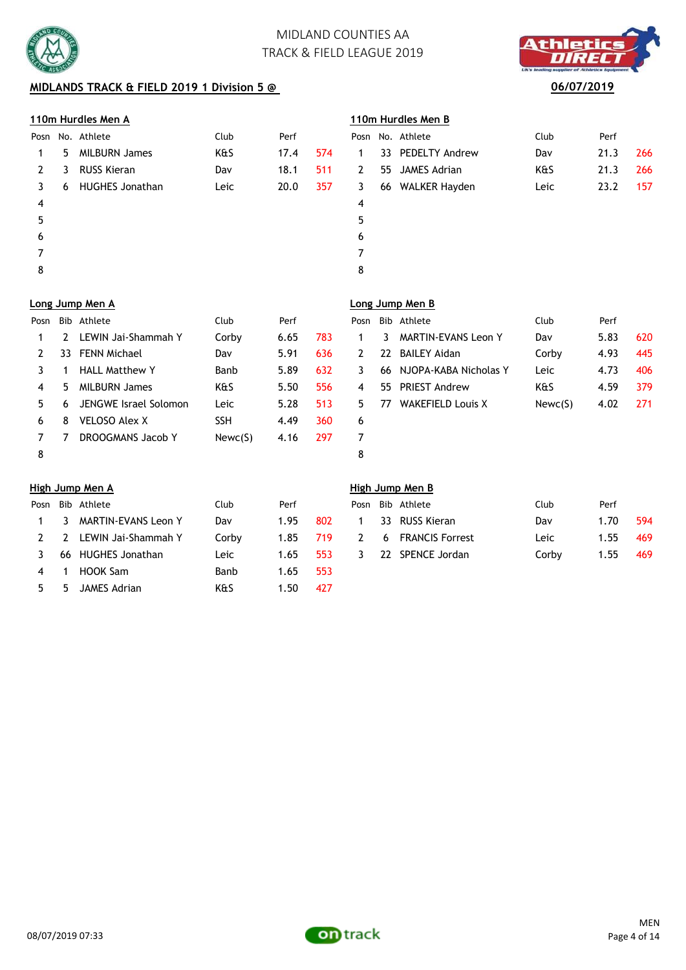

## **MIDLANDS TRACK & FIELD 2019 1 Division 5 @**

## **110m Hurdles Men A 110m Hurdles Men B**

| Posn           |    | No. Athlete            | Club | Perf |     |             |    | Posn No. Athlete  | Club | Perf |     |
|----------------|----|------------------------|------|------|-----|-------------|----|-------------------|------|------|-----|
| 1              | 5. | <b>MILBURN James</b>   | K&S  | 17.4 | 574 |             |    | 33 PEDELTY Andrew | Dav  | 21.3 | 266 |
| 2              | 3  | RUSS Kieran            | Dav  | 18.1 | 511 | $2^{\circ}$ |    | 55 JAMES Adrian   | K&S  | 21.3 | 266 |
| 3.             | 6  | <b>HUGHES Jonathan</b> | Leic | 20.0 | 357 | 3           | 66 | WALKER Hayden     | Leic | 23.2 | 157 |
| $\overline{4}$ |    |                        |      |      |     | 4           |    |                   |      |      |     |
| 5              |    |                        |      |      |     | 5           |    |                   |      |      |     |
| 6              |    |                        |      |      |     | 6           |    |                   |      |      |     |
| 7              |    |                        |      |      |     |             |    |                   |      |      |     |
| 8              |    |                        |      |      |     | 8           |    |                   |      |      |     |
|                |    |                        |      |      |     |             |    |                   |      |      |     |

| thletic                                     |  |
|---------------------------------------------|--|
| ww<br>ading sopplier of Athletics Equipment |  |
| 06/07/2019                                  |  |

 $\sim$ 

|   | osn No. Athlete   | Club | Perf |     |
|---|-------------------|------|------|-----|
| 1 | 33 PEDELTY Andrew | Dav  | 21.3 | 266 |
| 2 | 55 JAMES Adrian   | K&S  | 21.3 | 266 |
| 3 | 66 WALKER Hayden  | Leic | 23.2 | 157 |
| 4 |                   |      |      |     |
| 5 |                   |      |      |     |
| 6 |                   |      |      |     |
|   |                   |      |      |     |

|      |     | Long Jump Men A       |            |      |     | Long Jump Men B |     |                            |         |      |     |  |
|------|-----|-----------------------|------------|------|-----|-----------------|-----|----------------------------|---------|------|-----|--|
| Posn | Bib | Athlete               | Club       | Perf |     | Posn            |     | Bib Athlete                | Club    | Perf |     |  |
|      |     | LEWIN Jai-Shammah Y   | Corby      | 6.65 | 783 |                 | 3.  | <b>MARTIN-EVANS Leon Y</b> | Dav     | 5.83 | 62C |  |
|      | 33  | <b>FENN Michael</b>   | Dav        | 5.91 | 636 | 2               | 22  | <b>BAILEY Aidan</b>        | Corby   | 4.93 | 445 |  |
|      |     | <b>HALL Matthew Y</b> | Banb       | 5.89 | 632 | 3.              |     | 66 NJOPA-KABA Nicholas Y   | Leic    | 4.73 | 406 |  |
| 4    | 5   | <b>MILBURN James</b>  | K&S        | 5.50 | 556 | 4               | 55. | <b>PRIEST Andrew</b>       | K&S     | 4.59 | 379 |  |
| 5.   | 6   | JENGWE Israel Solomon | Leic       | 5.28 | 513 | 5.              | 77  | <b>WAKEFIELD Louis X</b>   | Newc(S) | 4.02 | 271 |  |
| 6    | 8   | <b>VELOSO Alex X</b>  | <b>SSH</b> | 4.49 | 360 | 6               |     |                            |         |      |     |  |
|      |     | DROOGMANS Jacob Y     | Newc(S)    | 4.16 | 297 |                 |     |                            |         |      |     |  |
| 8    |     |                       |            |      |     | 8               |     |                            |         |      |     |  |

| osn' |   | Bib Athlete                | Club    | Perf |     |
|------|---|----------------------------|---------|------|-----|
| 1    | 3 | <b>MARTIN-EVANS Leon Y</b> | Dav     | 5.83 | 620 |
| 2    |   | 22 BAILEY Aidan            | Corby   | 4.93 | 445 |
| 3    |   | 66 NJOPA-KABA Nicholas Y   | Leic    | 4.73 | 406 |
| 4    |   | 55 PRIEST Andrew           | K&S     | 4.59 | 379 |
| 5    |   | 77 WAKEFIELD Louis X       | Newc(S) | 4.02 | 271 |
| 6    |   |                            |         |      |     |
| 7    |   |                            |         |      |     |
|      |   |                            |         |      |     |

|                |     | Posn Bib Athlete      | Club  | Perf |       |              | Posn Bib Athlete    | Club  | Perf |            |
|----------------|-----|-----------------------|-------|------|-------|--------------|---------------------|-------|------|------------|
| $\overline{1}$ |     | 3 MARTIN-EVANS Leon Y | Dav   | 1.95 | 802   | $\mathbf{1}$ | 33 RUSS Kieran      | Dav   | 1.70 | 594        |
| 2              |     | 2 LEWIN Jai-Shammah Y | Corby | 1.85 | - 719 |              | 2 6 FRANCIS Forrest | Leic  | 1.55 | <b>469</b> |
| 3              |     | 66 HUGHES Jonathan    | Leic  | 1.65 | 553   | 3            | 22 SPENCE Jordan    | Corby | 1.55 | -469       |
| 4              | - 1 | HOOK Sam              | Banb  | 1.65 | 553   |              |                     |       |      |            |
| 5              | .5. | JAMES Adrian          | K&S   | 1.50 | 427   |              |                     |       |      |            |

### **High Jump Men A High Jump Men B**

|  | Posn Bib Athlete    | Club  | Perf |       |
|--|---------------------|-------|------|-------|
|  | 1 33 RUSS Kieran    | Dav   | 1.70 | 594   |
|  | 2 6 FRANCIS Forrest | Leic. | 1.55 | 469   |
|  | 3 22 SPENCE Jordan  | Corby | 1.55 | - 469 |

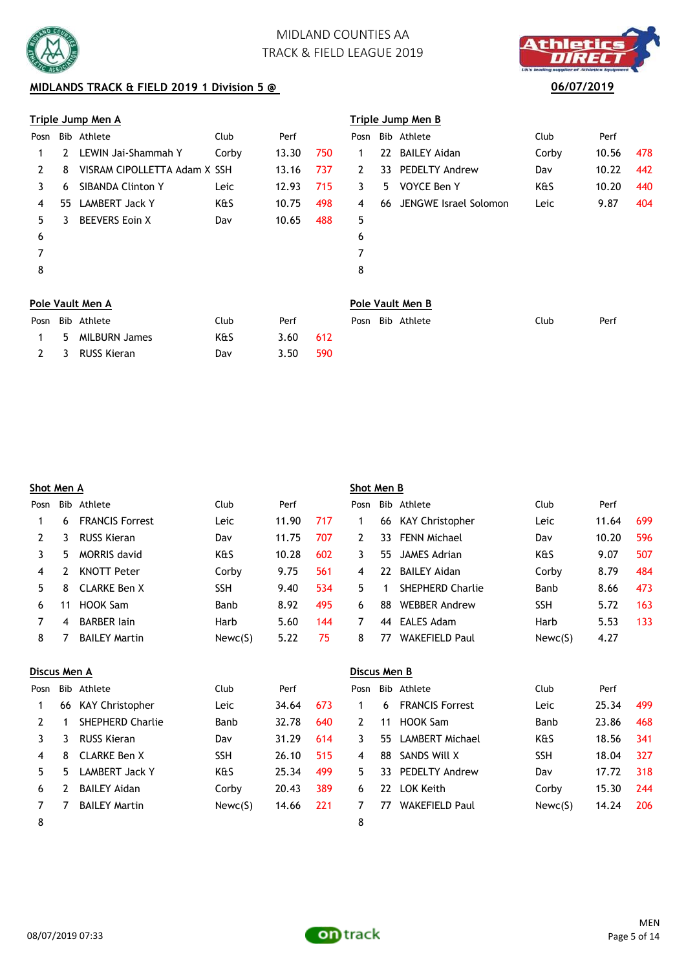

## **MIDLANDS TRACK & FIELD 2019 1 Division 5 @** 06/07/2019



|      |    | Triple Jump Men A            |       |       |     |              |    | Triple Jump Men B     |       |       |     |  |  |  |  |
|------|----|------------------------------|-------|-------|-----|--------------|----|-----------------------|-------|-------|-----|--|--|--|--|
| Posn |    | Bib Athlete                  | Club  | Perf  |     | Posn         |    | Bib Athlete           | Club  | Perf  |     |  |  |  |  |
|      | 2  | LEWIN Jai-Shammah Y          | Corby | 13.30 | 750 | 1            |    | 22 BAILEY Aidan       | Corby | 10.56 | 478 |  |  |  |  |
| 2    | 8  | VISRAM CIPOLLETTA Adam X SSH |       | 13.16 | 737 | $\mathbf{2}$ | 33 | <b>PEDELTY Andrew</b> | Dav   | 10.22 | 442 |  |  |  |  |
| 3    | 6  | <b>SIBANDA Clinton Y</b>     | Leic  | 12.93 | 715 | 3            | 5. | VOYCE Ben Y           | K&S   | 10.20 | 440 |  |  |  |  |
| 4    | 55 | <b>LAMBERT Jack Y</b>        | K&S   | 10.75 | 498 | 4            | 66 | JENGWE Israel Solomon | Leic  | 9.87  | 404 |  |  |  |  |
| 5    | 3  | <b>BEEVERS Eoin X</b>        | Dav   | 10.65 | 488 | 5            |    |                       |       |       |     |  |  |  |  |
| 6    |    |                              |       |       |     | 6            |    |                       |       |       |     |  |  |  |  |
| 7    |    |                              |       |       |     | 7            |    |                       |       |       |     |  |  |  |  |
| 8    |    |                              |       |       |     | 8            |    |                       |       |       |     |  |  |  |  |
|      |    | Pole Vault Men A             |       |       |     |              |    | Pole Vault Men B      |       |       |     |  |  |  |  |
| Posn |    | Bib Athlete                  | Club  | Perf  |     | Posn         |    | Bib Athlete           | Club  | Perf  |     |  |  |  |  |
| 1    | 5  | <b>MILBURN James</b>         | K&S   | 3.60  | 612 |              |    |                       |       |       |     |  |  |  |  |
| 2    | 3  | <b>RUSS Kieran</b>           | Dav   | 3.50  | 590 |              |    |                       |       |       |     |  |  |  |  |

|      | Shot Men A   |                        |            |       |     |              | Shot Men B |                         |             |       |     |  |  |
|------|--------------|------------------------|------------|-------|-----|--------------|------------|-------------------------|-------------|-------|-----|--|--|
| Posn | Bib          | Athlete                | Club       | Perf  |     | Posn         |            | Bib Athlete             | Club        | Perf  |     |  |  |
|      | 6            | <b>FRANCIS Forrest</b> | Leic       | 11.90 | 717 | 1            | 66         | KAY Christopher         | Leic        | 11.64 | 699 |  |  |
| 2    | 3            | <b>RUSS Kieran</b>     | Dav        | 11.75 | 707 | 2            | 33.        | <b>FENN Michael</b>     | Dav         | 10.20 | 596 |  |  |
| 3    | 5            | MORRIS david           | K&S        | 10.28 | 602 | 3            | 55.        | JAMES Adrian            | K&S         | 9.07  | 507 |  |  |
| 4    | 2            | <b>KNOTT Peter</b>     | Corby      | 9.75  | 561 | 4            | 22         | <b>BAILEY Aidan</b>     | Corby       | 8.79  | 484 |  |  |
| 5.   | 8            | <b>CLARKE Ben X</b>    | <b>SSH</b> | 9.40  | 534 | 5.           |            | <b>SHEPHERD Charlie</b> | <b>Banb</b> | 8.66  | 473 |  |  |
| 6    | 11           | HOOK Sam               | Banb       | 8.92  | 495 | 6            | 88         | <b>WEBBER Andrew</b>    | <b>SSH</b>  | 5.72  | 163 |  |  |
| 7    | 4            | <b>BARBER lain</b>     | Harb       | 5.60  | 144 | 7            | 44         | EALES Adam              | Harb        | 5.53  | 133 |  |  |
| 8    |              | <b>BAILEY Martin</b>   | Newc(S)    | 5.22  | 75  | 8            | 77         | <b>WAKEFIELD Paul</b>   | Newc(S)     | 4.27  |     |  |  |
|      | Discus Men A |                        |            |       |     | Discus Men B |            |                         |             |       |     |  |  |

| DISCUS MEN A |    |                         |            |       |     | DISCUS MEILD |     |                        |            |       |     |
|--------------|----|-------------------------|------------|-------|-----|--------------|-----|------------------------|------------|-------|-----|
| Posn         |    | Bib Athlete             | Club       | Perf  |     | Posn         |     | Bib Athlete            | Club       | Perf  |     |
|              | 66 | <b>KAY Christopher</b>  | Leic       | 34.64 | 673 |              | 6   | <b>FRANCIS Forrest</b> | Leic       | 25.34 | 499 |
|              |    | <b>SHEPHERD Charlie</b> | Banb       | 32.78 | 640 | 2            | 11  | HOOK Sam               | Banb       | 23.86 | 468 |
|              | 3  | RUSS Kieran             | Dav        | 31.29 | 614 | 3.           | 55  | LAMBERT Michael        | K&S        | 18.56 | 341 |
| 4            | 8  | CLARKE Ben X            | <b>SSH</b> | 26.10 | 515 | 4            | 88  | SANDS Will X           | <b>SSH</b> | 18.04 | 327 |
| 5.           | 5. | LAMBERT Jack Y          | K&S        | 25.34 | 499 | 5.           | 33. | <b>PEDELTY Andrew</b>  | Dav        | 17.72 | 318 |
| 6            | 2  | <b>BAILEY Aidan</b>     | Corby      | 20.43 | 389 | 6            | 22  | LOK Keith              | Corby      | 15.30 | 244 |
|              |    | <b>BAILEY Martin</b>    | Newc(S)    | 14.66 | 221 |              | 77  | <b>WAKEFIELD Paul</b>  | Newc(S)    | 14.24 | 206 |
| 8            |    |                         |            |       |     | 8            |     |                        |            |       |     |

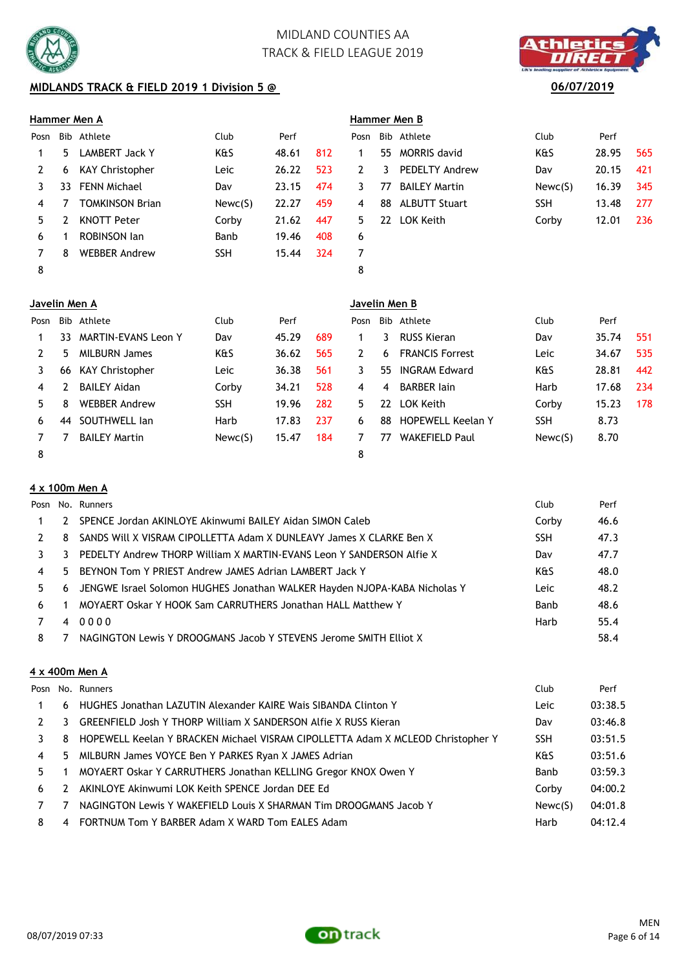

## **MIDLANDS TRACK & FIELD 2019 1 Division 5 @** 06/07/2019

# **Hammer Men A Hammer Men B**

| Posn |    |                        |             |       |     |    |    |                       |            |       |     |
|------|----|------------------------|-------------|-------|-----|----|----|-----------------------|------------|-------|-----|
|      |    | Bib Athlete            | Club        | Perf  |     |    |    | Posn Bib Athlete      | Club       | Perf  |     |
|      | 5. | LAMBERT Jack Y         | K&S         | 48.61 | 812 |    | 55 | <b>MORRIS david</b>   | K&S        | 28.95 | 565 |
|      | 6  | KAY Christopher        | <b>Leic</b> | 26.22 | 523 | 2  | 3  | <b>PEDELTY Andrew</b> | Dav        | 20.15 | 421 |
|      | 33 | FENN Michael           | Dav         | 23.15 | 474 | 3  | 77 | <b>BAILEY Martin</b>  | Newc(S)    | 16.39 | 345 |
| 4    |    | <b>TOMKINSON Brian</b> | Newc(S)     | 22.27 | 459 | 4  | 88 | <b>ALBUTT Stuart</b>  | <b>SSH</b> | 13.48 | 277 |
| 5.   |    | <b>KNOTT Peter</b>     | Corby       | 21.62 | 447 | 5. | 22 | LOK Keith             | Corby      | 12.01 | 236 |
| 6    |    | <b>ROBINSON Jan</b>    | Banb        | 19.46 | 408 | 6  |    |                       |            |       |     |
|      | 8  | <b>WEBBER Andrew</b>   | <b>SSH</b>  | 15.44 | 324 |    |    |                       |            |       |     |
| 8    |    |                        |             |       |     | 8  |    |                       |            |       |     |

|    |   | immer men d           |            |       |     |
|----|---|-----------------------|------------|-------|-----|
| sn |   | Bib Athlete           | Club       | Perf  |     |
| 1  |   | 55 MORRIS david       | K&S        | 28.95 | 565 |
| 2  | 3 | <b>PEDELTY Andrew</b> | Dav        | 20.15 | 421 |
| 3  |   | 77 BAILEY Martin      | Newc(S)    | 16.39 | 345 |
| 4  |   | 88 ALBUTT Stuart      | <b>SSH</b> | 13.48 | 277 |
| 5. |   | 22 LOK Keith          | Corby      | 12.01 | 236 |
| 6  |   |                       |            |       |     |
|    |   |                       |            |       |     |
| R  |   |                       |            |       |     |

| Javelin Men A |    |                            |            |       |     | Javelin Men B |    |                          |            |       |     |  |
|---------------|----|----------------------------|------------|-------|-----|---------------|----|--------------------------|------------|-------|-----|--|
| Posn          |    | Bib Athlete                | Club       | Perf  |     | Posn          |    | Bib Athlete              | Club       | Perf  |     |  |
|               | 33 | <b>MARTIN-EVANS Leon Y</b> | Dav        | 45.29 | 689 |               | 3  | <b>RUSS Kieran</b>       | Dav        | 35.74 | 551 |  |
|               | 5  | <b>MILBURN James</b>       | K&S        | 36.62 | 565 | 2             | 6. | <b>FRANCIS Forrest</b>   | Leic       | 34.67 | 535 |  |
|               | 66 | KAY Christopher            | Leic       | 36.38 | 561 | 3             | 55 | <b>INGRAM Edward</b>     | K&S        | 28.81 | 442 |  |
| 4             |    | <b>BAILEY Aidan</b>        | Corby      | 34.21 | 528 | 4             | 4  | <b>BARBER lain</b>       | Harb       | 17.68 | 234 |  |
| 5             | 8  | <b>WEBBER Andrew</b>       | <b>SSH</b> | 19.96 | 282 | 5.            | 22 | LOK Keith                | Corby      | 15.23 | 178 |  |
| 6             | 44 | SOUTHWELL Jan              | Harb       | 17.83 | 237 | 6             | 88 | <b>HOPEWELL Keelan Y</b> | <b>SSH</b> | 8.73  |     |  |
|               |    | <b>BAILEY Martin</b>       | Newc(S)    | 15.47 | 184 |               | 77 | <b>WAKEFIELD Paul</b>    | Newc(S)    | 8.70  |     |  |
| 8             |    |                            |            |       |     | 8             |    |                          |            |       |     |  |

### **4 x 100m Men A**

|                |   | Posn No. Runners                                                            | <b>Club</b> | Perf |
|----------------|---|-----------------------------------------------------------------------------|-------------|------|
|                | 2 | SPENCE Jordan AKINLOYE Akinwumi BAILEY Aidan SIMON Caleb                    | Corby       | 46.6 |
|                | 8 | SANDS Will X VISRAM CIPOLLETTA Adam X DUNLEAVY James X CLARKE Ben X         | <b>SSH</b>  | 47.3 |
|                | 3 | PEDELTY Andrew THORP William X MARTIN-EVANS Leon Y SANDERSON Alfie X        | Dav         | 47.7 |
| $\overline{4}$ |   | 5 BEYNON Tom Y PRIEST Andrew JAMES Adrian LAMBERT Jack Y                    | K&S         | 48.0 |
| 5.             |   | 6 JENGWE Israel Solomon HUGHES Jonathan WALKER Hayden NJOPA-KABA Nicholas Y | Leic        | 48.2 |
| 6              |   | MOYAERT Oskar Y HOOK Sam CARRUTHERS Jonathan HALL Matthew Y                 | Banb        | 48.6 |
|                |   | 40000                                                                       | Harb        | 55.4 |
| 8              |   | NAGINGTON Lewis Y DROOGMANS Jacob Y STEVENS Jerome SMITH Elliot X           |             | 58.4 |

### **4 x 400m Men A**

|    |               | Posn No. Runners                                                                | Club       | Perf    |
|----|---------------|---------------------------------------------------------------------------------|------------|---------|
| 1  |               | 6 HUGHES Jonathan LAZUTIN Alexander KAIRE Wais SIBANDA Clinton Y                | Leic       | 03:38.5 |
| 2  | 3.            | <b>GREENFIELD Josh Y THORP William X SANDERSON Alfie X RUSS Kieran</b>          | Dav        | 03:46.8 |
| 3. | 8             | HOPEWELL Keelan Y BRACKEN Michael VISRAM CIPOLLETTA Adam X MCLEOD Christopher Y | <b>SSH</b> | 03:51.5 |
| 4  |               | 5 MILBURN James VOYCE Ben Y PARKES Ryan X JAMES Adrian                          | K&S        | 03:51.6 |
| 5. |               | MOYAERT Oskar Y CARRUTHERS Jonathan KELLING Gregor KNOX Owen Y                  | Banb       | 03:59.3 |
| 6  | $\mathcal{L}$ | AKINLOYE Akinwumi LOK Keith SPENCE Jordan DEE Ed                                | Corby      | 04:00.2 |
|    |               | NAGINGTON Lewis Y WAKEFIELD Louis X SHARMAN Tim DROOGMANS Jacob Y               | Newc(S)    | 04:01.8 |
| 8  |               | 4 FORTNUM Tom Y BARBER Adam X WARD Tom EALES Adam                               | Harb       | 04:12.4 |



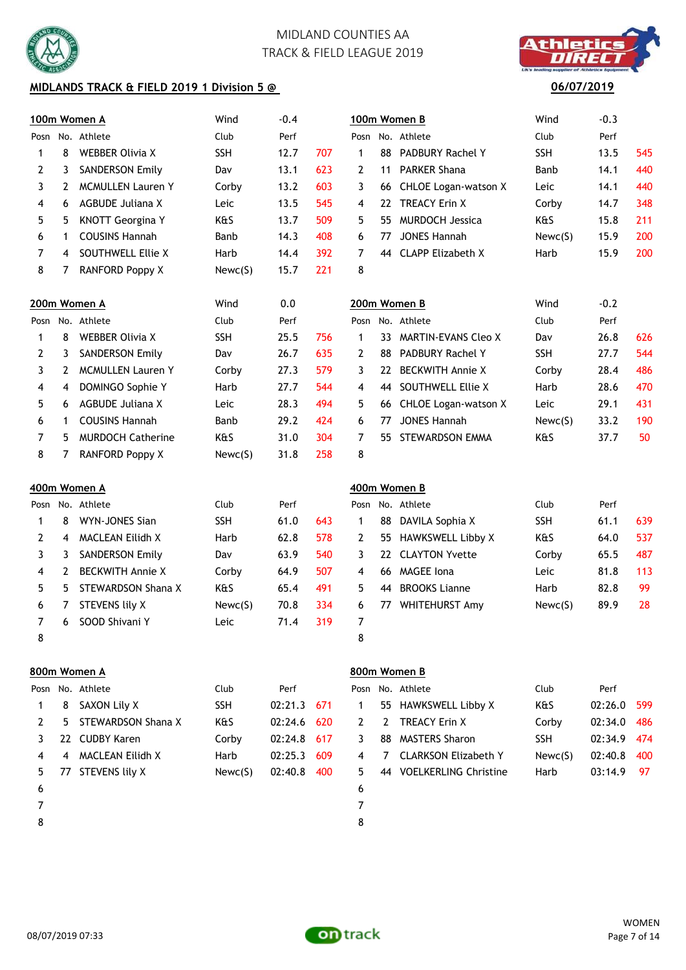

## **MIDLANDS TRACK & FIELD 2019 1 Division 5 @**



## **06/07/2019**

|      |                  | 100m Women A             | Wind       | $-0.4$      |     |                |              | 100m Women B               | Wind       | $-0.3$  |                 |
|------|------------------|--------------------------|------------|-------------|-----|----------------|--------------|----------------------------|------------|---------|-----------------|
|      |                  | Posn No. Athlete         | Club       | Perf        |     | Posn           |              | No. Athlete                | Club       | Perf    |                 |
| 1    | 8                | <b>WEBBER Olivia X</b>   | <b>SSH</b> | 12.7        | 707 | 1              | 88           | <b>PADBURY Rachel Y</b>    | <b>SSH</b> | 13.5    | 545             |
| 2    | 3                | <b>SANDERSON Emily</b>   | Dav        | 13.1        | 623 | 2              | 11           | <b>PARKER Shana</b>        | Banb       | 14.1    | 440             |
| 3    | 2                | <b>MCMULLEN Lauren Y</b> | Corby      | 13.2        | 603 | 3              | 66.          | CHLOE Logan-watson X       | Leic       | 14.1    | 440             |
| 4    | 6                | <b>AGBUDE Juliana X</b>  | Leic       | 13.5        | 545 | 4              | 22           | <b>TREACY Erin X</b>       | Corby      | 14.7    | 348             |
| 5    | 5                | <b>KNOTT Georgina Y</b>  | K&S        | 13.7        | 509 | 5              | 55.          | <b>MURDOCH Jessica</b>     | K&S        | 15.8    | 211             |
| 6    | 1                | <b>COUSINS Hannah</b>    | Banb       | 14.3        | 408 | 6              | 77           | <b>JONES Hannah</b>        | Newc(S)    | 15.9    | 200             |
| 7    | 4                | SOUTHWELL Ellie X        | Harb       | 14.4        | 392 | 7              | 44           | <b>CLAPP Elizabeth X</b>   | Harb       | 15.9    | 200             |
| 8    | 7                | <b>RANFORD Poppy X</b>   | Newc(S)    | 15.7        | 221 | 8              |              |                            |            |         |                 |
|      |                  | 200m Women A             | Wind       | 0.0         |     |                | 200m Women B |                            | Wind       | $-0.2$  |                 |
|      |                  | Posn No. Athlete         | Club       | Perf        |     |                |              | Posn No. Athlete           | Club       | Perf    |                 |
| 1    | 8                | <b>WEBBER Olivia X</b>   | <b>SSH</b> | 25.5        | 756 | 1              | 33           | <b>MARTIN-EVANS Cleo X</b> | Dav        | 26.8    | 626             |
| 2    | 3                | <b>SANDERSON Emily</b>   | Dav        | 26.7        | 635 | $\overline{2}$ | 88           | <b>PADBURY Rachel Y</b>    | <b>SSH</b> | 27.7    | 544             |
| 3    | 2                | <b>MCMULLEN Lauren Y</b> | Corby      | 27.3        | 579 | 3              | 22           | <b>BECKWITH Annie X</b>    | Corby      | 28.4    | 486             |
| 4    | 4                | DOMINGO Sophie Y         | Harb       | 27.7        | 544 | 4              | 44           | SOUTHWELL Ellie X          | Harb       | 28.6    | 47 <sub>C</sub> |
| 5    | 6                | <b>AGBUDE Juliana X</b>  | Leic       | 28.3        | 494 | 5              | 66           | CHLOE Logan-watson X       | Leic       | 29.1    | 431             |
| 6    | 1                | <b>COUSINS Hannah</b>    | Banb       | 29.2        | 424 | 6              | 77           | <b>JONES Hannah</b>        | Newc(S)    | 33.2    | 190             |
| 7    | 5.               | <b>MURDOCH Catherine</b> | K&S        | 31.0        | 304 | $\overline{7}$ | 55.          | STEWARDSON EMMA            | K&S        | 37.7    | 50              |
| 8    | 7                | <b>RANFORD Poppy X</b>   | Newc(S)    | 31.8        | 258 | 8              |              |                            |            |         |                 |
|      |                  | 400m Women A             |            |             |     |                |              | 400m Women B               |            |         |                 |
| Posn |                  | No. Athlete              | Club       | Perf        |     | Posn           |              | No. Athlete                | Club       | Perf    |                 |
| 1    | 8                | WYN-JONES Sian           | <b>SSH</b> | 61.0        | 643 | $\mathbf{1}$   | 88           | DAVILA Sophia X            | <b>SSH</b> | 61.1    | 639             |
| 2    | 4                | <b>MACLEAN Eilidh X</b>  | Harb       | 62.8        | 578 | 2              | 55.          | <b>HAWKSWELL Libby X</b>   | K&S        | 64.0    | 537             |
| 3    | 3                | <b>SANDERSON Emily</b>   | Dav        | 63.9        | 540 | 3              | 22           | <b>CLAYTON Yvette</b>      | Corby      | 65.5    | 487             |
| 4    | 2                | <b>BECKWITH Annie X</b>  | Corby      | 64.9        | 507 | 4              | 66           | <b>MAGEE</b> Iona          | Leic       | 81.8    | 113             |
| 5    | 5                | STEWARDSON Shana X       | K&S        | 65.4        | 491 | 5              |              | 44 BROOKS Lianne           | Harb       | 82.8    | 99              |
| 6    | 7                | <b>STEVENS lily X</b>    | Newc(S)    | 70.8        | 334 | 6              | 77.          | <b>WHITEHURST Amy</b>      | Newc(S)    | 89.9    | 28              |
| 7    | 6                | SOOD Shivani Y           | Leic       | 71.4        | 319 | 7              |              |                            |            |         |                 |
| 8    |                  |                          |            |             |     | 8              |              |                            |            |         |                 |
|      |                  | 800m Women A             |            |             |     |                |              | 800m Women B               |            |         |                 |
|      | Posn No. Athlete |                          | Club       | Perf        |     |                |              | Posn No. Athlete           | Club       | Perf    |                 |
| 1    | 8                | SAXON Lily X             | <b>SSH</b> | 02:21.3 671 |     | 1              |              | 55 HAWKSWELL Libby X       | K&S        | 02:26.0 | 599             |

- 2 5 STEWARDSON Shana X K&S 02:24.6 620 3 22 CUDBY Karen Corby 02:24.8 617 4 4 MACLEAN Eilidh X Harb 02:25.3 609 5 77 STEVENS lily X Newc(S) 02:40.8 400
- $6$
- 
- 8 8

|              | 'osn No. Athlete         | Club       | Perf         |  |
|--------------|--------------------------|------------|--------------|--|
|              | 1 55 HAWKSWELL Libby X   | K&S        | 02:26.0 599  |  |
|              | 2 2 TREACY Erin X        | Corby      | 02:34.0 486  |  |
| $\mathbf{3}$ | 88 MASTERS Sharon        | <b>SSH</b> | 02:34.9 474  |  |
|              | 4 7 CLARKSON Elizabeth Y | Newc(S)    | 02:40.8 400  |  |
| -5           | 44 VOELKERLING Christine | Harb       | $03:14.9$ 97 |  |
| $\epsilon$   |                          |            |              |  |

7 7

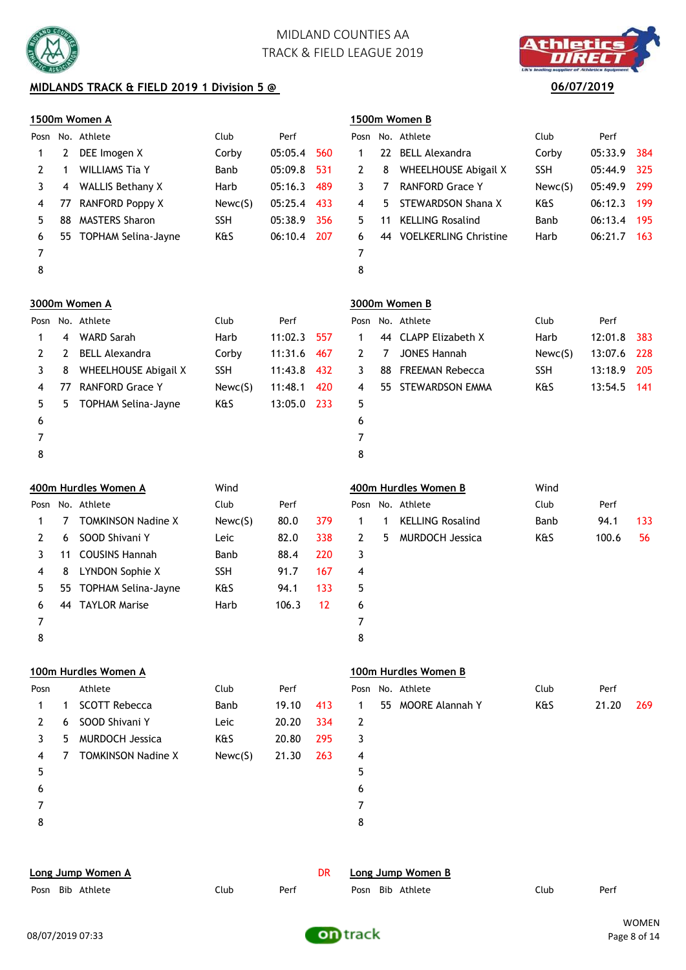

# **MIDLANDS TRACK & FIELD 2019 1 Division 5 @** 06/07/2019



|                |                              | <u>1500m Women A</u>       |            |         |           |                   |     | 1500m Women B               |            |             |       |  |
|----------------|------------------------------|----------------------------|------------|---------|-----------|-------------------|-----|-----------------------------|------------|-------------|-------|--|
| Posn           |                              | No. Athlete                | Club       | Perf    |           |                   |     | Posn No. Athlete            | Club       | Perf        |       |  |
| 1              | 2                            | DEE Imogen X               | Corby      | 05:05.4 | 560       | 1                 | 22. | <b>BELL Alexandra</b>       | Corby      | 05:33.9     | 384   |  |
| 2              | 1                            | <b>WILLIAMS Tia Y</b>      | Banb       | 05:09.8 | 531       | 2                 | 8   | <b>WHEELHOUSE Abigail X</b> | <b>SSH</b> | 05:44.9     | 325   |  |
| 3              | 4                            | <b>WALLIS Bethany X</b>    | Harb       | 05:16.3 | 489       | 3                 | 7   | <b>RANFORD Grace Y</b>      | Newc(S)    | 05:49.9     | 299   |  |
| 4              | 77                           | RANFORD Poppy X            | Newc(S)    | 05:25.4 | 433       | 4                 | 5.  | STEWARDSON Shana X          | K&S        | 06:12.3     | 199   |  |
| 5              | 88                           | <b>MASTERS Sharon</b>      | <b>SSH</b> | 05:38.9 | 356       | 5                 | 11  | <b>KELLING Rosalind</b>     | Banb       | 06:13.4     | 195   |  |
| 6              | 55.                          | TOPHAM Selina-Jayne        | K&S        | 06:10.4 | 207       | 6                 |     | 44 VOELKERLING Christine    | Harb       | 06:21.7 163 |       |  |
| $\overline{7}$ |                              |                            |            |         |           | 7                 |     |                             |            |             |       |  |
| 8              |                              |                            |            |         |           | 8                 |     |                             |            |             |       |  |
|                |                              | 3000m Women A              |            |         |           |                   |     | 3000m Women B               |            |             |       |  |
| Posn           |                              | No. Athlete                | Club       | Perf    |           |                   |     | Posn No. Athlete            | Club       | Perf        |       |  |
| 1              | 4                            | <b>WARD Sarah</b>          | Harb       | 11:02.3 | 557       | 1                 | 44  | <b>CLAPP Elizabeth X</b>    | Harb       | 12:01.8     | 383   |  |
| 2              | 2                            | <b>BELL Alexandra</b>      | Corby      | 11:31.6 | 467       | 2                 | 7   | <b>JONES Hannah</b>         | Newc(S)    | 13:07.6     | 228   |  |
| 3              | 8                            | WHEELHOUSE Abigail X       | <b>SSH</b> | 11:43.8 | 432       | 3                 | 88  | <b>FREEMAN Rebecca</b>      | <b>SSH</b> | 13:18.9     | 205   |  |
| 4              | 77                           | <b>RANFORD Grace Y</b>     | Newc(S)    | 11:48.1 | 420       | 4                 | 55  | STEWARDSON EMMA             | K&S        | 13:54.5     | - 141 |  |
| 5              | 5                            | <b>TOPHAM Selina-Jayne</b> | K&S        | 13:05.0 | 233       | 5                 |     |                             |            |             |       |  |
| 6              |                              |                            |            |         |           | 6                 |     |                             |            |             |       |  |
| 7              |                              |                            |            |         |           | $\overline{7}$    |     |                             |            |             |       |  |
| 8              |                              |                            |            |         |           | 8                 |     |                             |            |             |       |  |
|                | 400m Hurdles Women A<br>Wind |                            |            |         |           |                   |     | 400m Hurdles Women B        | Wind       |             |       |  |
| Posn           |                              | No. Athlete                | Club       | Perf    |           | Posn              |     | No. Athlete                 | Club       | Perf        |       |  |
| 1              | 7                            | <b>TOMKINSON Nadine X</b>  | Newc(S)    | 80.0    | 379       | 1                 | 1   | <b>KELLING Rosalind</b>     | Banb       | 94.1        | 133   |  |
| 2              | 6                            | SOOD Shivani Y             | Leic       | 82.0    | 338       | 2                 | 5   | <b>MURDOCH Jessica</b>      | K&S        | 100.6       | 56    |  |
| 3              | 11                           | <b>COUSINS Hannah</b>      | Banb       | 88.4    | 220       | 3                 |     |                             |            |             |       |  |
| 4              | 8                            | LYNDON Sophie X            | <b>SSH</b> | 91.7    | 167       | 4                 |     |                             |            |             |       |  |
| 5              | 55                           | <b>TOPHAM Selina-Jayne</b> | K&S        | 94.1    | 133       | 5                 |     |                             |            |             |       |  |
| 6              | 44                           | <b>TAYLOR Marise</b>       | Harb       | 106.3   | 12        | 6                 |     |                             |            |             |       |  |
| 7              |                              |                            |            |         |           | 7                 |     |                             |            |             |       |  |
| 8              |                              |                            |            |         |           | 8                 |     |                             |            |             |       |  |
|                |                              | 100m Hurdles Women A       |            |         |           |                   |     | 100m Hurdles Women B        |            |             |       |  |
| Posn           |                              | Athlete                    | Club       | Perf    |           |                   |     | Posn No. Athlete            | Club       | Perf        |       |  |
| 1              | 1                            | <b>SCOTT Rebecca</b>       | Banb       | 19.10   | 413       | 1                 |     | 55 MOORE Alannah Y          | K&S        | 21.20       | 269   |  |
| 2              | 6                            | SOOD Shivani Y             | Leic       | 20.20   | 334       | 2                 |     |                             |            |             |       |  |
| 3              | 5                            | <b>MURDOCH Jessica</b>     | K&S        | 20.80   | 295       | 3                 |     |                             |            |             |       |  |
| 4              | 7                            | <b>TOMKINSON Nadine X</b>  | Newc(S)    | 21.30   | 263       | 4                 |     |                             |            |             |       |  |
| 5              |                              |                            |            |         |           | 5                 |     |                             |            |             |       |  |
| 6              |                              |                            |            |         |           | 6                 |     |                             |            |             |       |  |
| 7              |                              |                            |            |         |           | $\overline{7}$    |     |                             |            |             |       |  |
| 8              |                              |                            |            |         |           | 8                 |     |                             |            |             |       |  |
|                |                              |                            |            |         |           |                   |     |                             |            |             |       |  |
|                |                              | Long Jump Women A          |            |         | <b>DR</b> | Long Jump Women B |     |                             |            |             |       |  |



Posn Bib Athlete Club Perf Posn Bib Athlete Club Perf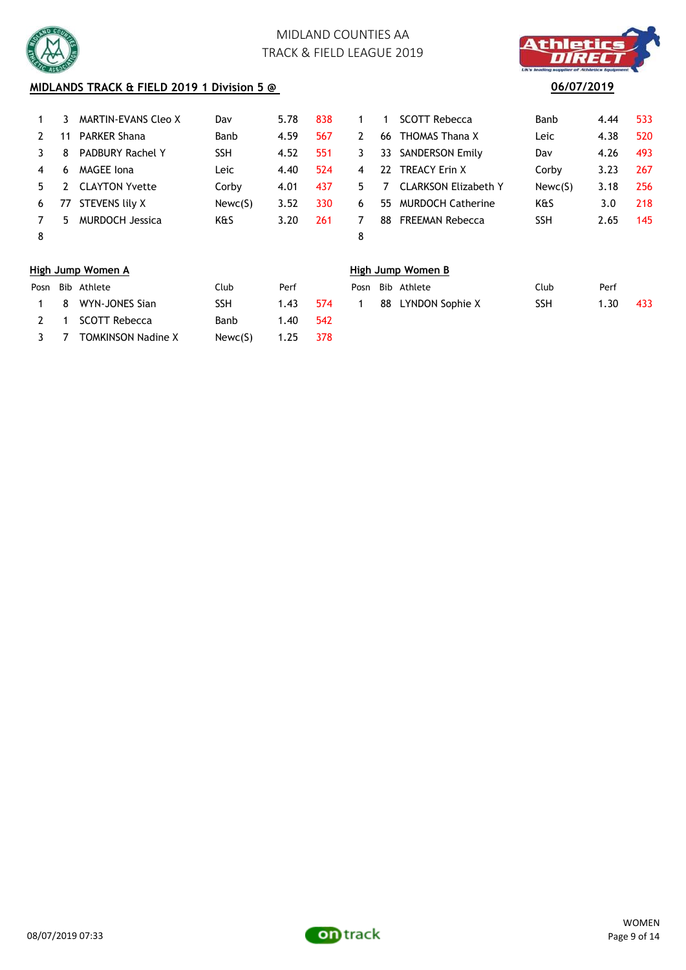



# **MIDLANDS TRACK & FIELD 2019 1 Division 5 @** 06/07/2019

|    |    | MARTIN-EVANS Cleo X     | Dav        | 5.78 | 838 |                |    | <b>SCOTT Rebecca</b>        | <b>Banb</b> | 4.44 | 533 |
|----|----|-------------------------|------------|------|-----|----------------|----|-----------------------------|-------------|------|-----|
|    | 11 | <b>PARKER Shana</b>     | Banb       | 4.59 | 567 | 2.             | 66 | <b>THOMAS Thana X</b>       | Leic        | 4.38 | 520 |
|    | 8  | <b>PADBURY Rachel Y</b> | <b>SSH</b> | 4.52 | 551 | 3              | 33 | <b>SANDERSON Emily</b>      | Dav         | 4.26 | 493 |
| 4  | 6  | MAGEE Iona              | Leic       | 4.40 | 524 | $\overline{4}$ | 22 | <b>TREACY Erin X</b>        | Corby       | 3.23 | 267 |
| 5. |    | <b>CLAYTON Yvette</b>   | Corby      | 4.01 | 437 | 5.             |    | <b>CLARKSON Elizabeth Y</b> | Newc(S)     | 3.18 | 256 |
| 6  | 77 | STEVENS lily X          | Newc(S)    | 3.52 | 330 | 6              | 55 | <b>MURDOCH Catherine</b>    | K&S         | 3.0  | 218 |
|    | 5. | MURDOCH Jessica         | K&S        | 3.20 | 261 |                | 88 | <b>FREEMAN Rebecca</b>      | <b>SSH</b>  | 2.65 | 145 |
| 8  |    |                         |            |      |     | 8              |    |                             |             |      |     |

| OTT Rebecca          | Banb       | 4.44 | 533 |
|----------------------|------------|------|-----|
| IOMAS Thana X        | Leic       | 4.38 | 520 |
| <b>NDERSON Emily</b> | Dav        | 4.26 | 493 |
| <b>EACY Erin X</b>   | Corby      | 3.23 | 267 |
| ARKSON Elizabeth Y   | Newc(S)    | 3.18 | 256 |
| JRDOCH Catherine     | K&S        | 3.0  | 218 |
| <b>EEMAN Rebecca</b> | <b>SSH</b> | 2.65 | 145 |
|                      |            |      |     |

### **High Jump Women A High Jump Women B**

|     | Posn Bib Athlete          | Club    | Perf          |      |  | Posn Bib Athlete   | Club | Perf |
|-----|---------------------------|---------|---------------|------|--|--------------------|------|------|
|     | 1 8 WYN-JONES Sian        | SSH     | 1.43          | -574 |  | 88 LYNDON Sophie X | SSH  | 1.30 |
| 2 1 | SCOTT Rebecca             | Banb    | 1.40          | -542 |  |                    |      |      |
| 3 7 | <b>TOMKINSON Nadine X</b> | Newc(S) | $1.25 \t 378$ |      |  |                    |      |      |

|  | osn Bib Athlete    | Club. | Perf |       |  | Posn Bib Athlete   | Club | Perf |     |
|--|--------------------|-------|------|-------|--|--------------------|------|------|-----|
|  | 1 8 WYN-JONES Sian | SSH   | 1,43 | - 574 |  | 88 LYNDON Sophie X | SSH  | 1.30 | 433 |
|  |                    |       |      |       |  |                    |      |      |     |

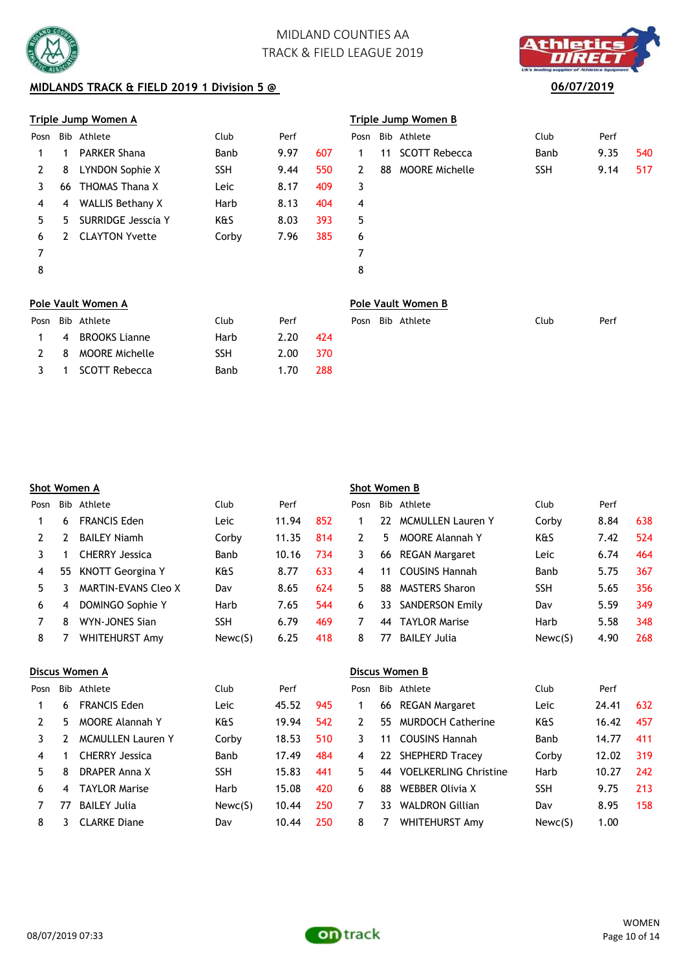

## **MIDLANDS TRACK & FIELD 2019 1 Division 5 @** 06/07/2019

### **Triple Jump Women A Triple Jump Women B**

| Posn |    | Bib Athlete           | Club       | Perf |     |              |    | Posn Bib Athlete      | Club       | Perf |     |
|------|----|-----------------------|------------|------|-----|--------------|----|-----------------------|------------|------|-----|
|      |    | <b>PARKER Shana</b>   | Banb       | 9.97 | 607 | $\mathbf{1}$ | 11 | <b>SCOTT Rebecca</b>  | Banb       | 9.35 | 540 |
|      | 8  | LYNDON Sophie X       | <b>SSH</b> | 9.44 | 550 | 2            | 88 | <b>MOORE Michelle</b> | <b>SSH</b> | 9.14 | 517 |
|      | 66 | THOMAS Thana X        | Leic       | 8.17 | 409 | 3            |    |                       |            |      |     |
| 4    | 4  | WALLIS Bethany X      | Harb       | 8.13 | 404 | 4            |    |                       |            |      |     |
| 5.   | 5. | SURRIDGE Jesscia Y    | K&S        | 8.03 | 393 | 5            |    |                       |            |      |     |
| 6    |    | <b>CLAYTON Yvette</b> | Corby      | 7.96 | 385 | 6            |    |                       |            |      |     |
|      |    |                       |            |      |     |              |    |                       |            |      |     |
| 8    |    |                       |            |      |     | 8            |    |                       |            |      |     |
|      |    |                       |            |      |     |              |    |                       |            |      |     |

1 SCOTT Rebecca Banb 1.70 288

|                | 'riple Jump Women B |                   |            |      |     |  |  |  |  |  |  |  |
|----------------|---------------------|-------------------|------------|------|-----|--|--|--|--|--|--|--|
| 'osn           |                     | Bib Athlete       | Club       | Perf |     |  |  |  |  |  |  |  |
| $\mathbf 1$    |                     | 11 SCOTT Rebecca  | Banb       | 9.35 | 540 |  |  |  |  |  |  |  |
| $\overline{2}$ |                     | 88 MOORE Michelle | <b>SSH</b> | 9.14 | 517 |  |  |  |  |  |  |  |
| 3              |                     |                   |            |      |     |  |  |  |  |  |  |  |
| $\overline{4}$ |                     |                   |            |      |     |  |  |  |  |  |  |  |
| 5              |                     |                   |            |      |     |  |  |  |  |  |  |  |
| 6              |                     |                   |            |      |     |  |  |  |  |  |  |  |
| 7              |                     |                   |            |      |     |  |  |  |  |  |  |  |

### **Pole Vault Women A Pole Vault Women B**

|                | Posn Bib Athlete | Club | Perf |     |  | Posn Bib Athlete | Club | Perf |
|----------------|------------------|------|------|-----|--|------------------|------|------|
| $\overline{4}$ | BROOKS Lianne    | Harb | 2.20 | 424 |  |                  |      |      |
|                | 8 MOORE Michelle | SSH  | 2.00 | 370 |  |                  |      |      |

|      |     | <u>Shot Women A</u>        |            |       |     | <b>Shot Women B</b> |     |                              |            |       |     |  |
|------|-----|----------------------------|------------|-------|-----|---------------------|-----|------------------------------|------------|-------|-----|--|
| Posn | Bib | Athlete                    | Club       | Perf  |     | Posn                | Bib | Athlete                      | Club       | Perf  |     |  |
| 1    | 6   | <b>FRANCIS Eden</b>        | Leic       | 11.94 | 852 | 1                   | 22  | <b>MCMULLEN Lauren Y</b>     | Corby      | 8.84  | 638 |  |
| 2    | 2   | <b>BAILEY Niamh</b>        | Corby      | 11.35 | 814 | 2                   | 5.  | MOORE Alannah Y              | K&S        | 7.42  | 524 |  |
| 3    | 1   | <b>CHERRY Jessica</b>      | Banb       | 10.16 | 734 | 3                   | 66  | <b>REGAN Margaret</b>        | Leic       | 6.74  | 464 |  |
| 4    | 55  | <b>KNOTT Georgina Y</b>    | K&S        | 8.77  | 633 | 4                   | 11  | <b>COUSINS Hannah</b>        | Banb       | 5.75  | 367 |  |
| 5    | 3.  | <b>MARTIN-EVANS Cleo X</b> | Dav        | 8.65  | 624 | 5                   | 88  | <b>MASTERS Sharon</b>        | <b>SSH</b> | 5.65  | 356 |  |
| 6    | 4   | DOMINGO Sophie Y           | Harb       | 7.65  | 544 | 6                   | 33  | <b>SANDERSON Emily</b>       | Dav        | 5.59  | 349 |  |
| 7    | 8   | WYN-JONES Sian             | <b>SSH</b> | 6.79  | 469 | 7                   | 44  | <b>TAYLOR Marise</b>         | Harb       | 5.58  | 348 |  |
| 8    | 7   | <b>WHITEHURST Amy</b>      | Newc(S)    | 6.25  | 418 | 8                   | 77  | <b>BAILEY Julia</b>          | Newc(S)    | 4.90  | 268 |  |
|      |     | <u>Discus Women A</u>      |            |       |     |                     |     | Discus Women B               |            |       |     |  |
| Posn | Bib | Athlete                    | Club       | Perf  |     | Posn                | Bib | Athlete                      | Club       | Perf  |     |  |
| 1    | 6   | <b>FRANCIS Eden</b>        | Leic       | 45.52 | 945 | 1                   | 66  | <b>REGAN Margaret</b>        | Leic       | 24.41 | 632 |  |
| 2    | 5.  | <b>MOORE Alannah Y</b>     | K&S        | 19.94 | 542 | 2                   | 55  | <b>MURDOCH Catherine</b>     | K&S        | 16.42 | 457 |  |
| 3    | 2   | <b>MCMULLEN Lauren Y</b>   | Corby      | 18.53 | 510 | 3                   | 11  | <b>COUSINS Hannah</b>        | Banb       | 14.77 | 411 |  |
| 4    | 1   | <b>CHERRY Jessica</b>      | Banb       | 17.49 | 484 | 4                   | 22  | <b>SHEPHERD Tracey</b>       | Corby      | 12.02 | 319 |  |
| 5.   | 8   | DRAPER Anna X              | <b>SSH</b> | 15.83 | 441 | 5                   | 44  | <b>VOELKERLING Christine</b> | Harb       | 10.27 | 242 |  |
| 6    | 4   | <b>TAYLOR Marise</b>       | Harb       | 15.08 | 420 | 6                   | 88  | <b>WEBBER Olivia X</b>       | SSH        | 9.75  | 213 |  |
| 7    | 77  | <b>BAILEY Julia</b>        | Newc(S)    | 10.44 | 250 | 7                   | 33  | <b>WALDRON Gillian</b>       | Dav        | 8.95  | 158 |  |

![](_page_9_Picture_11.jpeg)

8 3 CLARKE Diane Dav 10.44 250 8 7 WHITEHURST Amy Newc(S) 1.00

![](_page_9_Picture_13.jpeg)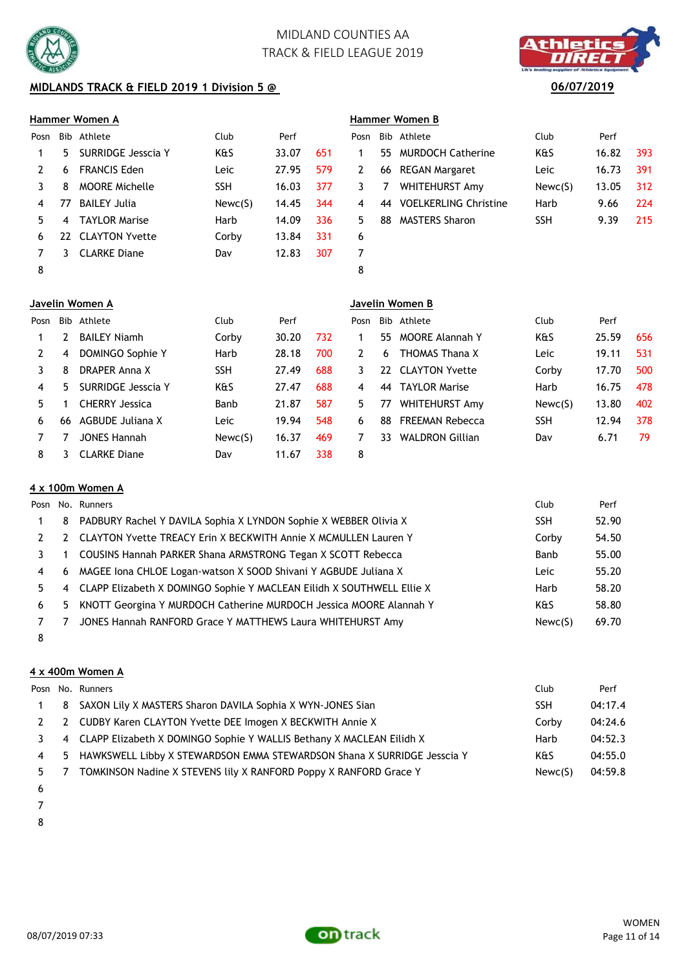![](_page_10_Picture_0.jpeg)

# **MIDLANDS TRACK & FIELD 2019 1 Division 5 @** 06/07/2019

### **Hammer Women A Hammer Women B**

| Posn |     | Bib Athlete           | <b>Club</b> | Perf  |     | Posn |     | Bib Athlete                  | Club       | Perf  |     |
|------|-----|-----------------------|-------------|-------|-----|------|-----|------------------------------|------------|-------|-----|
|      | 5.  | SURRIDGE Jesscia Y    | K&S         | 33.07 | 651 |      |     | 55 MURDOCH Catherine         | K&S        | 16.82 | 393 |
|      | 6   | <b>FRANCIS Eden</b>   | Leic        | 27.95 | 579 | 2    | 66  | <b>REGAN Margaret</b>        | Leic       | 16.73 | 391 |
|      | 8   | <b>MOORE Michelle</b> | <b>SSH</b>  | 16.03 | 377 | 3    |     | WHITEHURST Amy               | Newc(S)    | 13.05 | 312 |
|      | 77  | <b>BAILEY Julia</b>   | Newc(S)     | 14.45 | 344 | 4    | -44 | <b>VOELKERLING Christine</b> | Harb       | 9.66  | 224 |
|      | 4   | <b>TAYLOR Marise</b>  | Harb        | 14.09 | 336 | 5.   | 88  | <b>MASTERS Sharon</b>        | <b>SSH</b> | 9.39  | 215 |
| 6    | 22. | <b>CLAYTON Yvette</b> | Corby       | 13.84 | 331 | 6    |     |                              |            |       |     |
|      |     | <b>CLARKE Diane</b>   | Dav         | 12.83 | 307 |      |     |                              |            |       |     |
| 8    |     |                       |             |       |     | 8    |     |                              |            |       |     |

| )sn |    | Bib Athlete              | Club       | Perf  |     |
|-----|----|--------------------------|------------|-------|-----|
|     |    | 55 MURDOCH Catherine     | K&S        | 16.82 | 393 |
| 2   |    | 66 REGAN Margaret        | Leic       | 16.73 | 391 |
| 3   | 7  | WHITEHURST Amy           | Newc(S)    | 13.05 | 312 |
| 4   |    | 44 VOELKERLING Christine | Harb       | 9.66  | 224 |
| 5   | 88 | <b>MASTERS Sharon</b>    | <b>SSH</b> | 9.39  | 215 |
| 6   |    |                          |            |       |     |
|     |    |                          |            |       |     |
|     |    |                          |            |       |     |

|      | Javelin Women A |                       |            |       |     |      | Javelin Women B |                        |            |       |     |  |  |
|------|-----------------|-----------------------|------------|-------|-----|------|-----------------|------------------------|------------|-------|-----|--|--|
| Posn | Bib             | Athlete               | Club       | Perf  |     | Posn | Bib             | Athlete                | Club       | Perf  |     |  |  |
|      |                 | <b>BAILEY Niamh</b>   | Corby      | 30.20 | 732 |      | 55.             | <b>MOORE Alannah Y</b> | K&S        | 25.59 | 656 |  |  |
|      | 4               | DOMINGO Sophie Y      | Harb       | 28.18 | 700 | 2    | 6               | THOMAS Thana X         | Leic       | 19.11 | 531 |  |  |
| 3    | 8               | DRAPER Anna X         | <b>SSH</b> | 27.49 | 688 | 3    | 22              | CLAYTON Yvette         | Corby      | 17.70 | 500 |  |  |
| 4    | 5.              | SURRIDGE Jesscia Y    | K&S        | 27.47 | 688 | 4    | 44              | TAYLOR Marise          | Harb       | 16.75 | 478 |  |  |
| 5.   |                 | <b>CHERRY Jessica</b> | Banb       | 21.87 | 587 | 5.   | 77              | WHITEHURST Amy         | Newc(S)    | 13.80 | 402 |  |  |
| 6    | 66              | AGBUDE Juliana X      | Leic       | 19.94 | 548 | 6    | 88              | <b>FREEMAN Rebecca</b> | <b>SSH</b> | 12.94 | 378 |  |  |
|      |                 | <b>JONES Hannah</b>   | Newc(S)    | 16.37 | 469 |      | 33              | <b>WALDRON Gillian</b> | Dav        | 6.71  | 79  |  |  |
| 8    |                 | <b>CLARKE Diane</b>   | Dav        | 11.67 | 338 | 8    |                 |                        |            |       |     |  |  |

## **4 x 100m Women A**

|              |    | Posn No. Runners                                                        | Club       | Perf  |
|--------------|----|-------------------------------------------------------------------------|------------|-------|
| $\mathbf{1}$ | 8  | PADBURY Rachel Y DAVILA Sophia X LYNDON Sophie X WEBBER Olivia X        | <b>SSH</b> | 52.90 |
|              |    | CLAYTON Yvette TREACY Erin X BECKWITH Annie X MCMULLEN Lauren Y         | Corby      | 54.50 |
|              |    | COUSINS Hannah PARKER Shana ARMSTRONG Tegan X SCOTT Rebecca             | Banb       | 55.00 |
| 4            |    | 6 MAGEE Iona CHLOE Logan-watson X SOOD Shivani Y AGBUDE Juliana X       | Leic       | 55.20 |
| .5.          |    | 4 CLAPP Elizabeth X DOMINGO Sophie Y MACLEAN Eilidh X SOUTHWELL Ellie X | Harb       | 58.20 |
| 6            | 5. | KNOTT Georgina Y MURDOCH Catherine MURDOCH Jessica MOORE Alannah Y      | K&S        | 58.80 |
|              |    | JONES Hannah RANFORD Grace Y MATTHEWS Laura WHITEHURST Amy              | Newc(S)    | 69.70 |
| 8            |    |                                                                         |            |       |

## **4 x 400m Women A**

|   | Posn No. Runners                                                          | Club       | Perf    |
|---|---------------------------------------------------------------------------|------------|---------|
|   | 8 SAXON Lily X MASTERS Sharon DAVILA Sophia X WYN-JONES Sian              | <b>SSH</b> | 04:17.4 |
|   | 2 CUDBY Karen CLAYTON Yvette DEE Imogen X BECKWITH Annie X                | Corby      | 04:24.6 |
|   | 4 CLAPP Elizabeth X DOMINGO Sophie Y WALLIS Bethany X MACLEAN Eilidh X    | Harb       | 04:52.3 |
| 4 | 5 HAWKSWELL Libby X STEWARDSON EMMA STEWARDSON Shana X SURRIDGE Jesscia Y | K&S        | 04:55.0 |
| 5 | TOMKINSON Nadine X STEVENS lily X RANFORD Poppy X RANFORD Grace Y         | Newc(S)    | 04:59.8 |

- 
- 
- 

![](_page_10_Picture_18.jpeg)

![](_page_10_Picture_20.jpeg)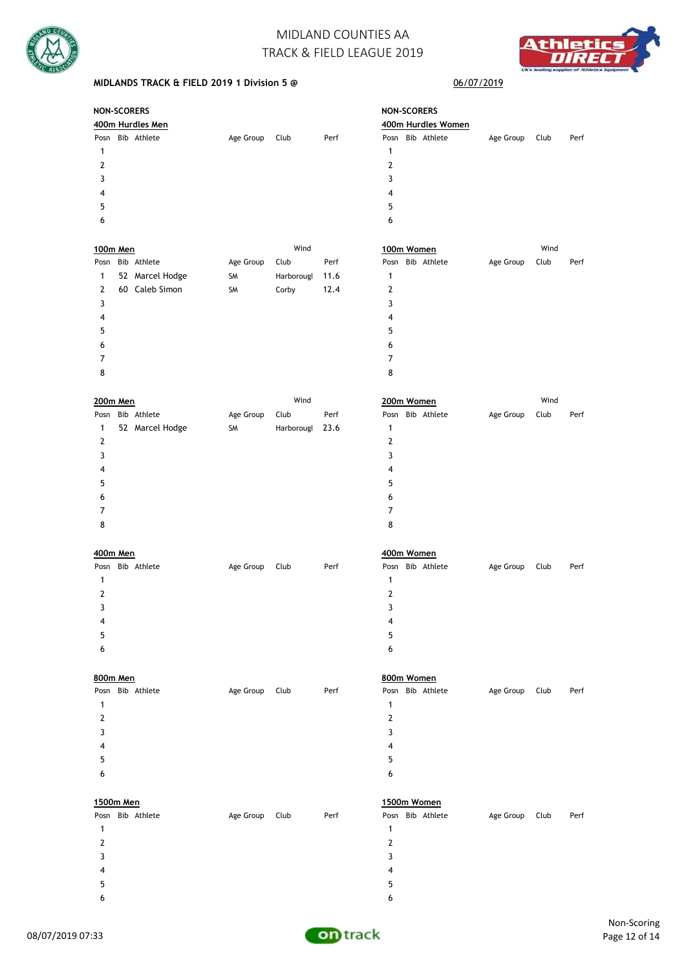![](_page_11_Picture_0.jpeg)

![](_page_11_Picture_2.jpeg)

### **MIDLANDS TRACK & FIELD 2019 1 Division 5 @**

### 06/07/2019

| <b>NON-SCORERS</b> |                  |           |      |      | <b>NON-SCORERS</b> |  |           |      |      |  |  |  |
|--------------------|------------------|-----------|------|------|--------------------|--|-----------|------|------|--|--|--|
|                    | 400m Hurdles Men |           |      |      | 400m Hurdles Women |  |           |      |      |  |  |  |
| Posn               | Bib Athlete      | Age Group | Club | Perf | Posn Bib Athlete   |  | Age Group | Club | Perf |  |  |  |
|                    |                  |           |      |      |                    |  |           |      |      |  |  |  |
| 2                  |                  |           |      |      | 2                  |  |           |      |      |  |  |  |
| 3                  |                  |           |      |      |                    |  |           |      |      |  |  |  |
| 4                  |                  |           |      |      | 4                  |  |           |      |      |  |  |  |
| 5                  |                  |           |      |      | 5                  |  |           |      |      |  |  |  |
| 6                  |                  |           |      |      | 6                  |  |           |      |      |  |  |  |

| $\tilde{\phantom{a}}$ |    |                 |           |            |      | $\tilde{\phantom{a}}$ |           |      |      |
|-----------------------|----|-----------------|-----------|------------|------|-----------------------|-----------|------|------|
| 6                     |    |                 |           |            |      | 6                     |           |      |      |
| 100m Men              |    |                 |           | Wind       |      | 100m Women            |           | Wind |      |
| Posn                  |    | Bib Athlete     | Age Group | Club       | Perf | Posn Bib Athlete      | Age Group | Club | Perf |
|                       |    | 52 Marcel Hodge | <b>SM</b> | Harborougl | 11.6 |                       |           |      |      |
| 2                     | 60 | Caleb Simon     | <b>SM</b> | Corby      | 12.4 | 2                     |           |      |      |
| 3                     |    |                 |           |            |      |                       |           |      |      |
| 4                     |    |                 |           |            |      | 4                     |           |      |      |
| 5                     |    |                 |           |            |      | 5                     |           |      |      |
| 6                     |    |                 |           |            |      | 6                     |           |      |      |

|      | 200m Men |                 |           | Wind            |      | 200m Women       | Wind      |      |      |
|------|----------|-----------------|-----------|-----------------|------|------------------|-----------|------|------|
| Posn |          | Bib Athlete     | Age Group | Club            | Perf | Posn Bib Athlete | Age Group | Club | Perf |
| 1    |          | 52 Marcel Hodge | SM        | Harborougl 23.6 |      |                  |           |      |      |
| 2    |          |                 |           |                 |      | 2                |           |      |      |
| 3    |          |                 |           |                 |      |                  |           |      |      |
| 4    |          |                 |           |                 |      | 4                |           |      |      |
| 5    |          |                 |           |                 |      | 5                |           |      |      |
| 6    |          |                 |           |                 |      | 6                |           |      |      |
|      |          |                 |           |                 |      |                  |           |      |      |
| 8    |          |                 |           |                 |      | 8                |           |      |      |

 7 8

| 200m Women     |                  | Wind      |      |      |  |  |  |
|----------------|------------------|-----------|------|------|--|--|--|
|                | Posn Bib Athlete | Age Group | Club | Perf |  |  |  |
| 1              |                  |           |      |      |  |  |  |
| $\overline{2}$ |                  |           |      |      |  |  |  |
| 3              |                  |           |      |      |  |  |  |
| 4              |                  |           |      |      |  |  |  |
| 5              |                  |           |      |      |  |  |  |
| 6              |                  |           |      |      |  |  |  |
| 7              |                  |           |      |      |  |  |  |
| 8              |                  |           |      |      |  |  |  |

| 400m Men |                  |           |      |      | 400m Women       |           |      |      |  |  |
|----------|------------------|-----------|------|------|------------------|-----------|------|------|--|--|
|          | Posn Bib Athlete | Age Group | Club | Perf | Posn Bib Athlete | Age Group | Club | Perf |  |  |
|          |                  |           |      |      | 1                |           |      |      |  |  |
|          |                  |           |      |      |                  |           |      |      |  |  |
|          |                  |           |      |      |                  |           |      |      |  |  |
| 4        |                  |           |      |      | 4                |           |      |      |  |  |
| 5        |                  |           |      |      | 5                |           |      |      |  |  |
| 6        |                  |           |      |      | 6                |           |      |      |  |  |

| 800m Men            |           |      |      | 800m Women       |           |      |      |  |  |  |
|---------------------|-----------|------|------|------------------|-----------|------|------|--|--|--|
| Bib Athlete<br>Posn | Age Group | Club | Perf | Posn Bib Athlete | Age Group | Club | Perf |  |  |  |
| 1                   |           |      |      |                  |           |      |      |  |  |  |
| 2                   |           |      |      | 2                |           |      |      |  |  |  |
| 3                   |           |      |      | 3                |           |      |      |  |  |  |
| 4                   |           |      |      | 4                |           |      |      |  |  |  |
| 5                   |           |      |      | 5                |           |      |      |  |  |  |
| 6                   |           |      |      | 6                |           |      |      |  |  |  |
|                     |           |      |      |                  |           |      |      |  |  |  |

| 1500m Men |             |           |      |      | 1500m Women |             |           |      |      |  |
|-----------|-------------|-----------|------|------|-------------|-------------|-----------|------|------|--|
| Posn      | Bib Athlete | Age Group | Club | Perf | Posn        | Bib Athlete | Age Group | Club | Perf |  |
|           |             |           |      |      |             |             |           |      |      |  |
| 2         |             |           |      |      |             |             |           |      |      |  |
|           |             |           |      |      |             |             |           |      |      |  |
| 4         |             |           |      |      | 4           |             |           |      |      |  |
| 5         |             |           |      |      | 5           |             |           |      |      |  |
|           |             |           |      |      |             |             |           |      |      |  |

![](_page_11_Picture_13.jpeg)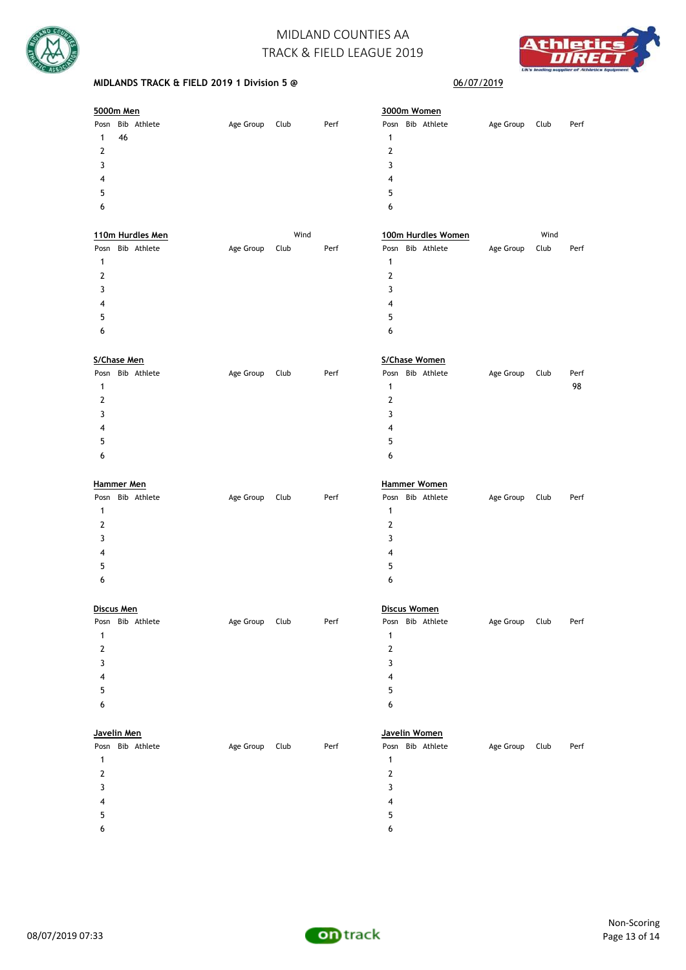![](_page_12_Picture_0.jpeg)

![](_page_12_Picture_2.jpeg)

### **MIDLANDS TRACK & FIELD 2019 1 Division 5 @** 06/07/2019

| 5000m Men |    |                  |           |      |      | 3000m Women |                  |           |      |      |  |
|-----------|----|------------------|-----------|------|------|-------------|------------------|-----------|------|------|--|
|           |    | Posn Bib Athlete | Age Group | Club | Perf |             | Posn Bib Athlete | Age Group | Club | Perf |  |
|           | 46 |                  |           |      |      | 1           |                  |           |      |      |  |
| 2         |    |                  |           |      |      | 2           |                  |           |      |      |  |
| 3         |    |                  |           |      |      | 3           |                  |           |      |      |  |
| 4         |    |                  |           |      |      | 4           |                  |           |      |      |  |
| 5         |    |                  |           |      |      | 5           |                  |           |      |      |  |
| 6         |    |                  |           |      |      | 6           |                  |           |      |      |  |
|           |    |                  |           |      |      |             |                  |           |      |      |  |

|   | 110m Hurdles Men |                  | Wind      |      |      | 100m Hurdles Women |  |                  | Wind      |      |      |
|---|------------------|------------------|-----------|------|------|--------------------|--|------------------|-----------|------|------|
|   |                  | Posn Bib Athlete | Age Group | Club | Perf |                    |  | Posn Bib Athlete | Age Group | Club | Perf |
|   |                  |                  |           |      |      | 1                  |  |                  |           |      |      |
| 2 |                  |                  |           |      |      | າ                  |  |                  |           |      |      |
|   |                  |                  |           |      |      |                    |  |                  |           |      |      |
| 4 |                  |                  |           |      |      | 4                  |  |                  |           |      |      |
| 5 |                  |                  |           |      |      | 5                  |  |                  |           |      |      |
| 6 |                  |                  |           |      |      | 6                  |  |                  |           |      |      |
|   |                  |                  |           |      |      |                    |  |                  |           |      |      |

| S/Chase Men |                  |           |      |      | S/Chase Women    |           |      |      |  |  |
|-------------|------------------|-----------|------|------|------------------|-----------|------|------|--|--|
|             | Posn Bib Athlete | Age Group | Club | Perf | Posn Bib Athlete | Age Group | Club | Perf |  |  |
|             |                  |           |      |      |                  |           |      | 98   |  |  |
|             |                  |           |      |      | 2                |           |      |      |  |  |
|             |                  |           |      |      | 3                |           |      |      |  |  |
| 4           |                  |           |      |      | 4                |           |      |      |  |  |
| 5           |                  |           |      |      | 5                |           |      |      |  |  |
| 6           |                  |           |      |      | 6                |           |      |      |  |  |
|             |                  |           |      |      |                  |           |      |      |  |  |

| Hammer Men          |           |              | <b>Hammer Women</b> |  |                  |           |      |      |
|---------------------|-----------|--------------|---------------------|--|------------------|-----------|------|------|
| Bib Athlete<br>Posn | Age Group | Perf<br>Club |                     |  | Posn Bib Athlete | Age Group | Club | Perf |
|                     |           |              |                     |  |                  |           |      |      |
| 2                   |           |              | 2                   |  |                  |           |      |      |
| 3                   |           |              | 3                   |  |                  |           |      |      |
| 4                   |           |              | 4                   |  |                  |           |      |      |
| 5                   |           |              | 5                   |  |                  |           |      |      |
| 6                   |           |              | 6                   |  |                  |           |      |      |
|                     |           |              |                     |  |                  |           |      |      |

|      | Discus Men  |           | Discus Women |      |                  |           |      |      |  |
|------|-------------|-----------|--------------|------|------------------|-----------|------|------|--|
| Posn | Bib Athlete | Age Group | Club         | Perf | Posn Bib Athlete | Age Group | Club | Perf |  |
|      |             |           |              |      |                  |           |      |      |  |
| 2    |             |           |              |      |                  |           |      |      |  |
| ς    |             |           |              |      | ર                |           |      |      |  |
| 4    |             |           |              |      | 4                |           |      |      |  |
| 5    |             |           |              |      | ҕ,               |           |      |      |  |

| Javelin Men |             |           | Javelin Women |      |      |  |             |           |      |      |
|-------------|-------------|-----------|---------------|------|------|--|-------------|-----------|------|------|
| Posn        | Bib Athlete | Age Group | Club          | Perf | Posn |  | Bib Athlete | Age Group | Club | Perf |
|             |             |           |               |      |      |  |             |           |      |      |
|             |             |           |               |      | າ    |  |             |           |      |      |
|             |             |           |               |      | 3    |  |             |           |      |      |
| 4           |             |           |               |      | 4    |  |             |           |      |      |
| 5           |             |           |               |      | 5    |  |             |           |      |      |
| 6           |             |           |               |      | 6    |  |             |           |      |      |

![](_page_12_Picture_11.jpeg)

![](_page_12_Picture_12.jpeg)